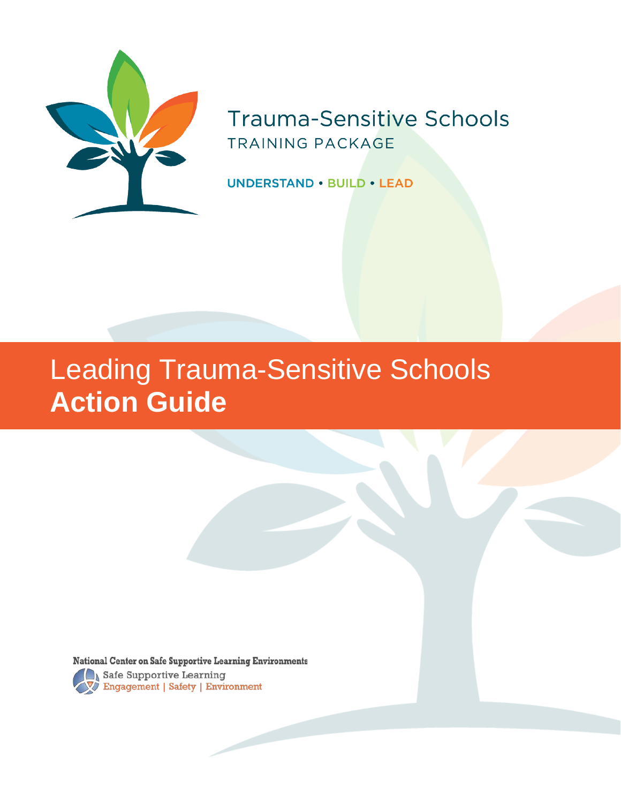

## **Trauma-Sensitive Schools TRAINING PACKAGE**

**UNDERSTAND . BUILD . LEAD** 

# Leading Trauma-Sensitive Schools **Action Guide**

**National Center on Safe Supportive Learning Environments** Safe Supportive Learning<br>
Safe Supportive Learning<br>
Safety | Environment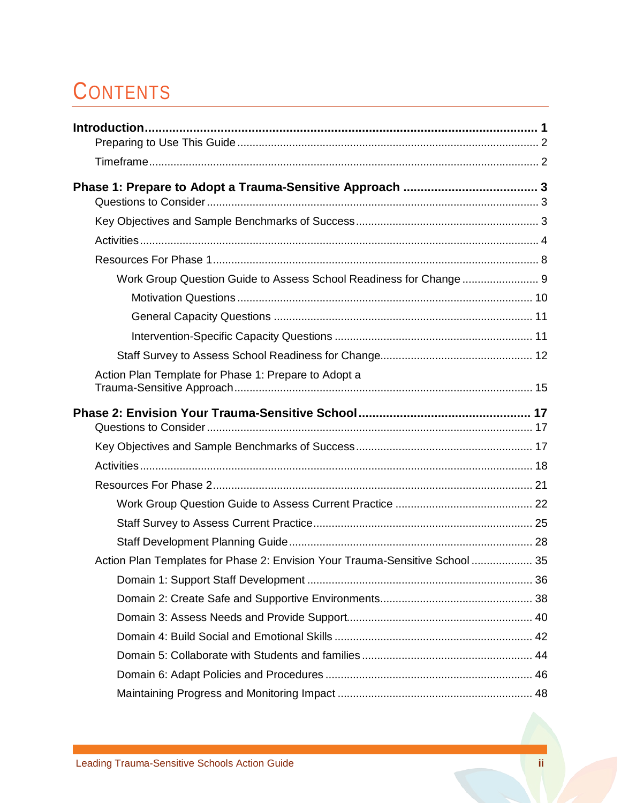# **CONTENTS**

| Work Group Question Guide to Assess School Readiness for Change  9           |  |
|------------------------------------------------------------------------------|--|
|                                                                              |  |
|                                                                              |  |
|                                                                              |  |
|                                                                              |  |
| Action Plan Template for Phase 1: Prepare to Adopt a                         |  |
|                                                                              |  |
|                                                                              |  |
|                                                                              |  |
|                                                                              |  |
|                                                                              |  |
|                                                                              |  |
|                                                                              |  |
| Action Plan Templates for Phase 2: Envision Your Trauma-Sensitive School  35 |  |
|                                                                              |  |
|                                                                              |  |
|                                                                              |  |
|                                                                              |  |
|                                                                              |  |
|                                                                              |  |
|                                                                              |  |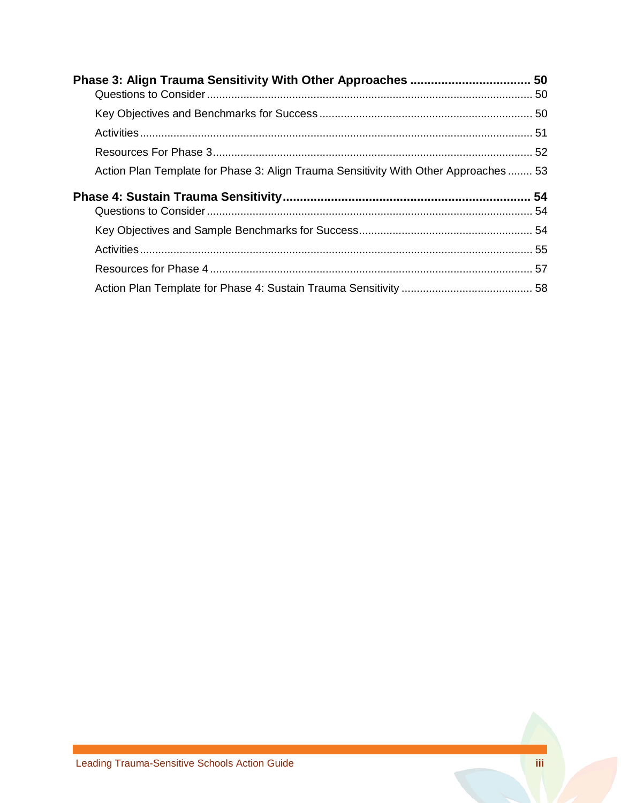| Action Plan Template for Phase 3: Align Trauma Sensitivity With Other Approaches  53 |  |
|--------------------------------------------------------------------------------------|--|
|                                                                                      |  |
|                                                                                      |  |
|                                                                                      |  |
|                                                                                      |  |
|                                                                                      |  |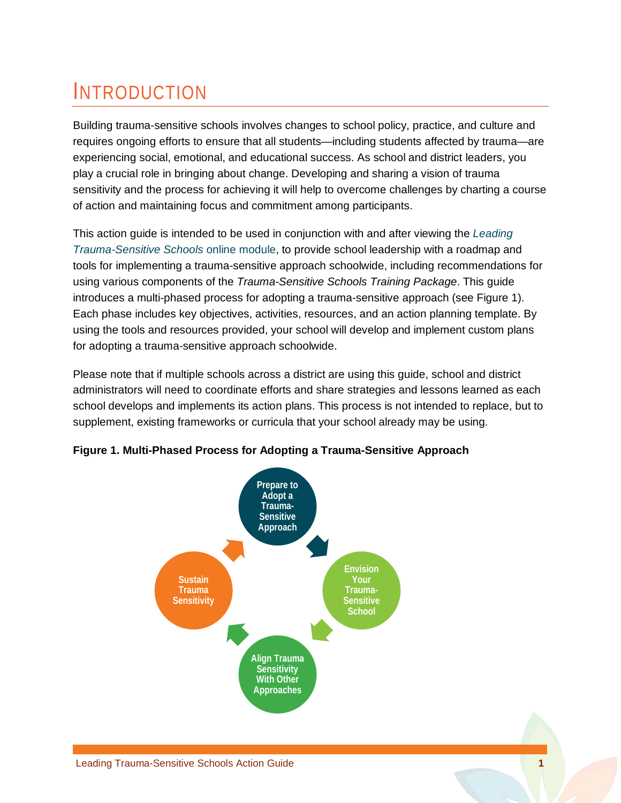# INTRODUCTION

Building trauma-sensitive schools involves changes to school policy, practice, and culture and requires ongoing efforts to ensure that all students—including students affected by trauma—are experiencing social, emotional, and educational success. As school and district leaders, you play a crucial role in bringing about change. Developing and sharing a vision of trauma sensitivity and the process for achieving it will help to overcome challenges by charting a course of action and maintaining focus and commitment among participants.

This action guide is intended to be used in conjunction with and after viewing the *[Leading](http://airhsdlearning.airws.org/leading-trauma-sensitive-schools/story.html)  [Trauma-Sensitive Schools](http://airhsdlearning.airws.org/leading-trauma-sensitive-schools/story.html)* online module, to provide school leadership with a roadmap and tools for implementing a trauma-sensitive approach schoolwide, including recommendations for using various components of the *Trauma-Sensitive Schools Training Package*. This guide introduces a multi-phased process for adopting a trauma-sensitive approach (see [Figure 1\)](#page-3-0). Each phase includes key objectives, activities, resources, and an action planning template. By using the tools and resources provided, your school will develop and implement custom plans for adopting a trauma-sensitive approach schoolwide.

Please note that if multiple schools across a district are using this guide, school and district administrators will need to coordinate efforts and share strategies and lessons learned as each school develops and implements its action plans. This process is not intended to replace, but to supplement, existing frameworks or curricula that your school already may be using.

<span id="page-3-0"></span>

**Figure 1. Multi-Phased Process for Adopting a Trauma-Sensitive Approach**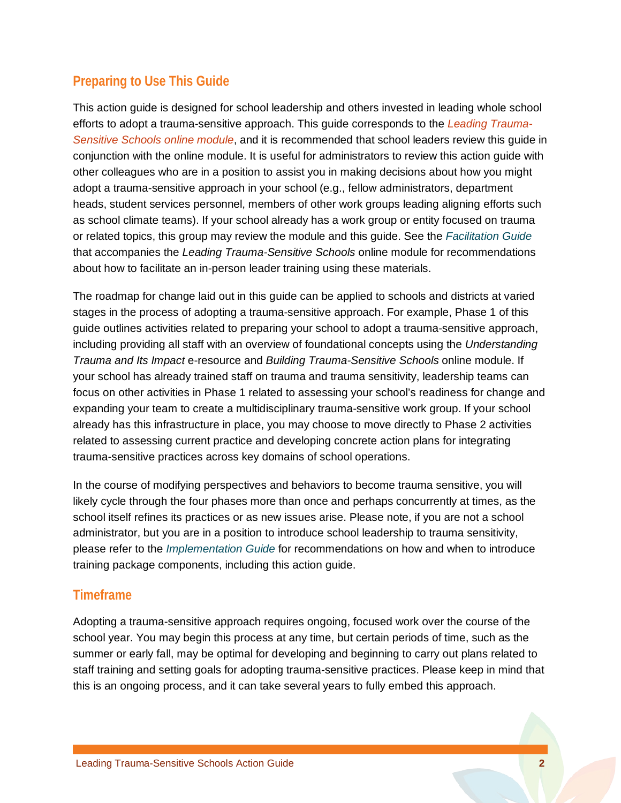## **Preparing to Use This Guide**

This action guide is designed for school leadership and others invested in leading whole school efforts to adopt a trauma-sensitive approach. This guide corresponds to the *[Leading Trauma-](http://airhsdlearning.airws.org/leading-trauma-sensitive-schools/story.html)[Sensitive Schools online module](http://airhsdlearning.airws.org/leading-trauma-sensitive-schools/story.html)*, and it is recommended that school leaders review this guide in conjunction with the online module. It is useful for administrators to review this action guide with other colleagues who are in a position to assist you in making decisions about how you might adopt a trauma-sensitive approach in your school (e.g., fellow administrators, department heads, student services personnel, members of other work groups leading aligning efforts such as school climate teams). If your school already has a work group or entity focused on trauma or related topics, this group may review the module and this guide. See the *[Facilitation Guide](https://safesupportivelearning.ed.gov/sites/default/files/TSS_Leading_Facilitation_Guide.pdf)* that accompanies the *Leading Trauma-Sensitive Schools* online module for recommendations about how to facilitate an in-person leader training using these materials.

The roadmap for change laid out in this guide can be applied to schools and districts at varied stages in the process of adopting a trauma-sensitive approach. For example, Phase 1 of this guide outlines activities related to preparing your school to adopt a trauma-sensitive approach, including providing all staff with an overview of foundational concepts using the *Understanding Trauma and Its Impact* e-resource and *Building Trauma-Sensitive Schools* online module. If your school has already trained staff on trauma and trauma sensitivity, leadership teams can focus on other activities in Phase 1 related to assessing your school's readiness for change and expanding your team to create a multidisciplinary trauma-sensitive work group. If your school already has this infrastructure in place, you may choose to move directly to Phase 2 activities related to assessing current practice and developing concrete action plans for integrating trauma-sensitive practices across key domains of school operations.

In the course of modifying perspectives and behaviors to become trauma sensitive, you will likely cycle through the four phases more than once and perhaps concurrently at times, as the school itself refines its practices or as new issues arise. Please note, if you are not a school administrator, but you are in a position to introduce school leadership to trauma sensitivity, please refer to the *[Implementation Guide](https://safesupportivelearning.ed.gov/sites/default/files/TSS_Training_Package_Implementation_Guidefinal.pdf)* for recommendations on how and when to introduce training package components, including this action guide.

### **Timeframe**

Adopting a trauma-sensitive approach requires ongoing, focused work over the course of the school year. You may begin this process at any time, but certain periods of time, such as the summer or early fall, may be optimal for developing and beginning to carry out plans related to staff training and setting goals for adopting trauma-sensitive practices. Please keep in mind that this is an ongoing process, and it can take several years to fully embed this approach.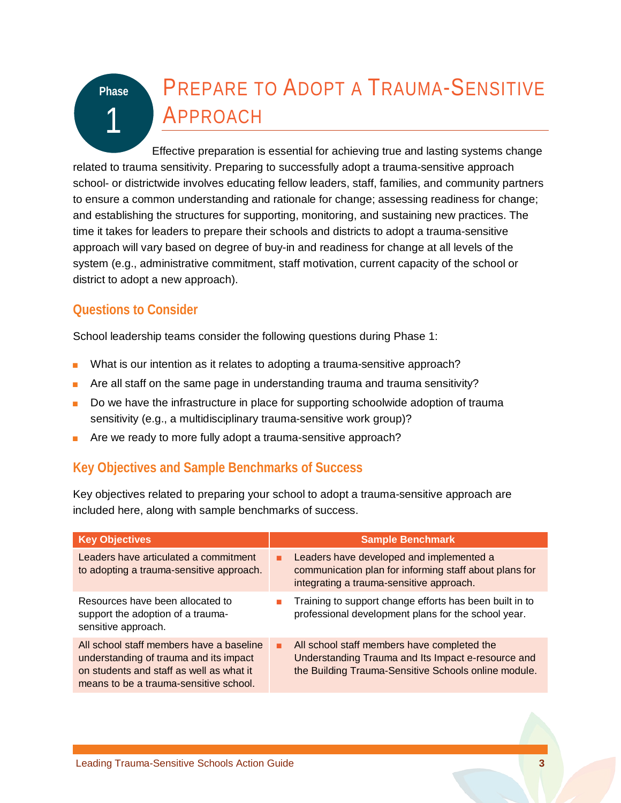# PREPARE TO ADOPT A TRAUMA-SENSITIVE APPROACH

Effective preparation is essential for achieving true and lasting systems change related to trauma sensitivity. Preparing to successfully adopt a trauma-sensitive approach school- or districtwide involves educating fellow leaders, staff, families, and community partners to ensure a common understanding and rationale for change; assessing readiness for change; and establishing the structures for supporting, monitoring, and sustaining new practices. The time it takes for leaders to prepare their schools and districts to adopt a trauma-sensitive approach will vary based on degree of buy-in and readiness for change at all levels of the system (e.g., administrative commitment, staff motivation, current capacity of the school or district to adopt a new approach).

## **Questions to Consider**

**Phase**

1

School leadership teams consider the following questions during Phase 1:

- What is our intention as it relates to adopting a trauma-sensitive approach?
- Are all staff on the same page in understanding trauma and trauma sensitivity?
- Do we have the infrastructure in place for supporting schoolwide adoption of trauma sensitivity (e.g., a multidisciplinary trauma-sensitive work group)?
- Are we ready to more fully adopt a trauma-sensitive approach?

## **Key Objectives and Sample Benchmarks of Success**

Key objectives related to preparing your school to adopt a trauma-sensitive approach are included here, along with sample benchmarks of success.

| <b>Key Objectives</b>                                                                                                                                                    |   | <b>Sample Benchmark</b>                                                                                                                                   |
|--------------------------------------------------------------------------------------------------------------------------------------------------------------------------|---|-----------------------------------------------------------------------------------------------------------------------------------------------------------|
| Leaders have articulated a commitment<br>to adopting a trauma-sensitive approach.                                                                                        | ٠ | Leaders have developed and implemented a<br>communication plan for informing staff about plans for<br>integrating a trauma-sensitive approach.            |
| Resources have been allocated to<br>support the adoption of a trauma-<br>sensitive approach.                                                                             |   | Training to support change efforts has been built in to<br>professional development plans for the school year.                                            |
| All school staff members have a baseline<br>understanding of trauma and its impact<br>on students and staff as well as what it<br>means to be a trauma-sensitive school. | ٠ | All school staff members have completed the<br>Understanding Trauma and Its Impact e-resource and<br>the Building Trauma-Sensitive Schools online module. |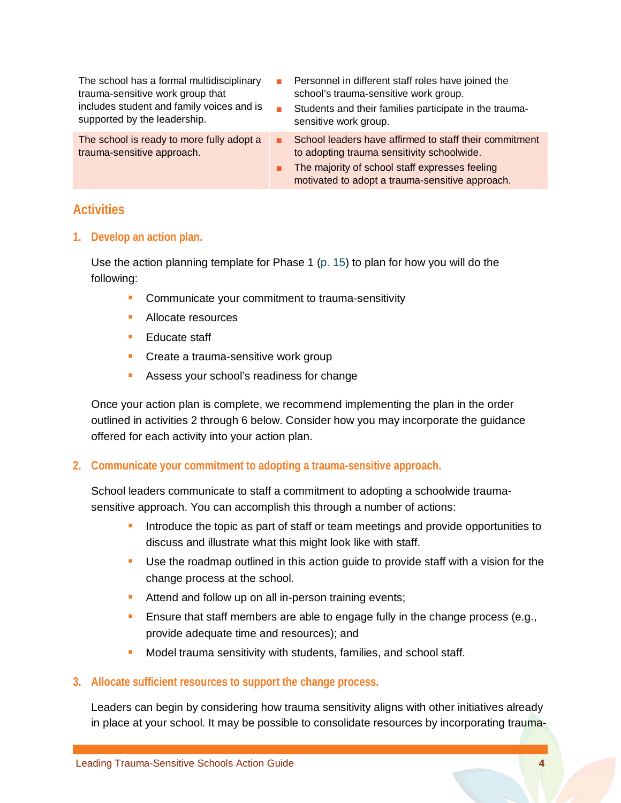| The school has a formal multidisciplinary<br>trauma-sensitive work group that<br>includes student and family voices and is<br>supported by the leadership. | Personnel in different staff roles have joined the<br>school's trauma-sensitive work group.<br>Students and their families participate in the trauma-<br>sensitive work group.                            |
|------------------------------------------------------------------------------------------------------------------------------------------------------------|-----------------------------------------------------------------------------------------------------------------------------------------------------------------------------------------------------------|
| The school is ready to more fully adopt a<br>trauma-sensitive approach.                                                                                    | School leaders have affirmed to staff their commitment<br>to adopting trauma sensitivity schoolwide.<br>The majority of school staff expresses feeling<br>motivated to adopt a trauma-sensitive approach. |

### **Activities**

**1. Develop an action plan.**

Use the action planning template for Phase 1 [\(p. 15\)](#page-17-0) to plan for how you will do the following:

- **Communicate your commitment to trauma-sensitivity**
- **Allocate resources**
- **Educate staff**
- **Create a trauma-sensitive work group**
- **Assess your school's readiness for change**

Once your action plan is complete, we recommend implementing the plan in the order outlined in activities 2 through 6 below. Consider how you may incorporate the guidance offered for each activity into your action plan.

#### **2. Communicate your commitment to adopting a trauma-sensitive approach.**

School leaders communicate to staff a commitment to adopting a schoolwide traumasensitive approach. You can accomplish this through a number of actions:

- Introduce the topic as part of staff or team meetings and provide opportunities to discuss and illustrate what this might look like with staff.
- Use the roadmap outlined in this action guide to provide staff with a vision for the change process at the school.
- Attend and follow up on all in-person training events;
- **Ensure that staff members are able to engage fully in the change process (e.g.,** provide adequate time and resources); and
- **Model trauma sensitivity with students, families, and school staff.**

#### **3. Allocate sufficient resources to support the change process.**

Leaders can begin by considering how trauma sensitivity aligns with other initiatives already in place at your school. It may be possible to consolidate resources by incorporating trauma-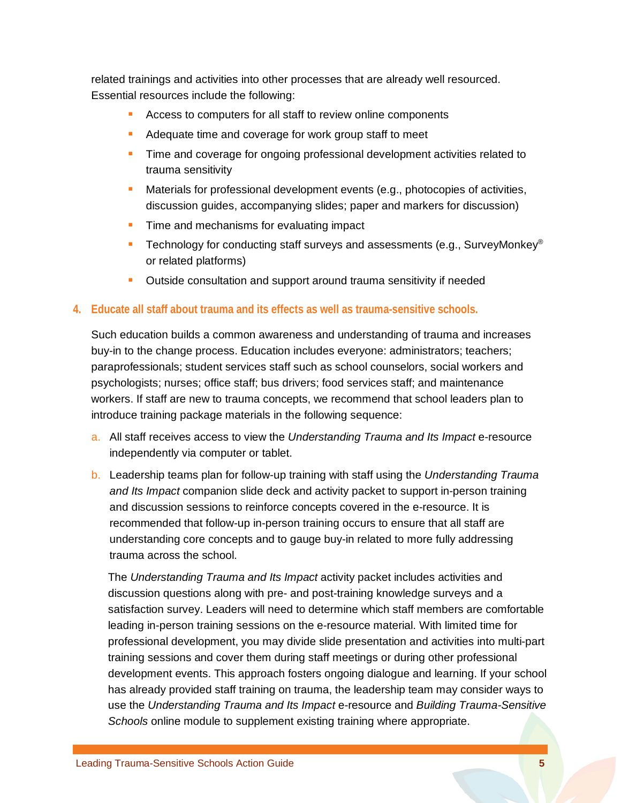related trainings and activities into other processes that are already well resourced. Essential resources include the following:

- **Access to computers for all staff to review online components**
- Adequate time and coverage for work group staff to meet
- **Time and coverage for ongoing professional development activities related to** trauma sensitivity
- **Materials for professional development events (e.g., photocopies of activities,** discussion guides, accompanying slides; paper and markers for discussion)
- **Time and mechanisms for evaluating impact**
- **Technology for conducting staff surveys and assessments (e.g., SurveyMonkey**<sup>®</sup> or related platforms)
- **Dutside consultation and support around trauma sensitivity if needed**

#### **4. Educate all staff about trauma and its effects as well as trauma-sensitive schools.**

Such education builds a common awareness and understanding of trauma and increases buy-in to the change process. Education includes everyone: administrators; teachers; paraprofessionals; student services staff such as school counselors, social workers and psychologists; nurses; office staff; bus drivers; food services staff; and maintenance workers. If staff are new to trauma concepts, we recommend that school leaders plan to introduce training package materials in the following sequence:

- a. All staff receives access to view the *Understanding Trauma and Its Impact* e-resource independently via computer or tablet.
- b. Leadership teams plan for follow-up training with staff using the *Understanding Trauma and Its Impact* companion slide deck and activity packet to support in-person training and discussion sessions to reinforce concepts covered in the e-resource. It is recommended that follow-up in-person training occurs to ensure that all staff are understanding core concepts and to gauge buy-in related to more fully addressing trauma across the school.

The *Understanding Trauma and Its Impact* activity packet includes activities and discussion questions along with pre- and post-training knowledge surveys and a satisfaction survey. Leaders will need to determine which staff members are comfortable leading in-person training sessions on the e-resource material. With limited time for professional development, you may divide slide presentation and activities into multi-part training sessions and cover them during staff meetings or during other professional development events. This approach fosters ongoing dialogue and learning. If your school has already provided staff training on trauma, the leadership team may consider ways to use the *Understanding Trauma and Its Impact* e-resource and *Building Trauma-Sensitive Schools* online module to supplement existing training where appropriate.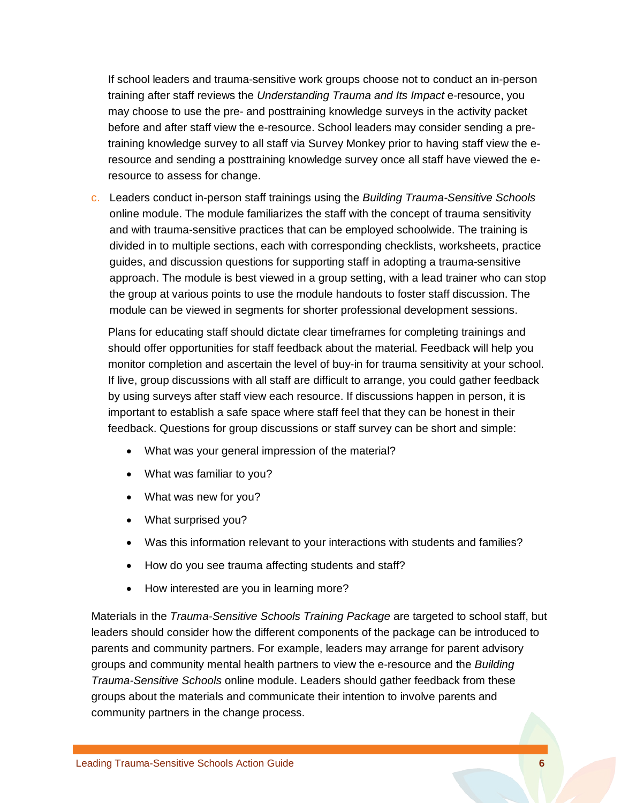If school leaders and trauma-sensitive work groups choose not to conduct an in-person training after staff reviews the *Understanding Trauma and Its Impact* e-resource, you may choose to use the pre- and posttraining knowledge surveys in the activity packet before and after staff view the e-resource. School leaders may consider sending a pretraining knowledge survey to all staff via Survey Monkey prior to having staff view the eresource and sending a posttraining knowledge survey once all staff have viewed the eresource to assess for change.

c. Leaders conduct in-person staff trainings using the *Building Trauma-Sensitive Schools* online module. The module familiarizes the staff with the concept of trauma sensitivity and with trauma-sensitive practices that can be employed schoolwide. The training is divided in to multiple sections, each with corresponding checklists, worksheets, practice guides, and discussion questions for supporting staff in adopting a trauma-sensitive approach. The module is best viewed in a group setting, with a lead trainer who can stop the group at various points to use the module handouts to foster staff discussion. The module can be viewed in segments for shorter professional development sessions.

Plans for educating staff should dictate clear timeframes for completing trainings and should offer opportunities for staff feedback about the material. Feedback will help you monitor completion and ascertain the level of buy-in for trauma sensitivity at your school. If live, group discussions with all staff are difficult to arrange, you could gather feedback by using surveys after staff view each resource. If discussions happen in person, it is important to establish a safe space where staff feel that they can be honest in their feedback. Questions for group discussions or staff survey can be short and simple:

- What was your general impression of the material?
- What was familiar to you?
- What was new for you?
- What surprised you?
- Was this information relevant to your interactions with students and families?
- How do you see trauma affecting students and staff?
- How interested are you in learning more?

Materials in the *Trauma-Sensitive Schools Training Package* are targeted to school staff, but leaders should consider how the different components of the package can be introduced to parents and community partners. For example, leaders may arrange for parent advisory groups and community mental health partners to view the e-resource and the *Building Trauma-Sensitive Schools* online module. Leaders should gather feedback from these groups about the materials and communicate their intention to involve parents and community partners in the change process.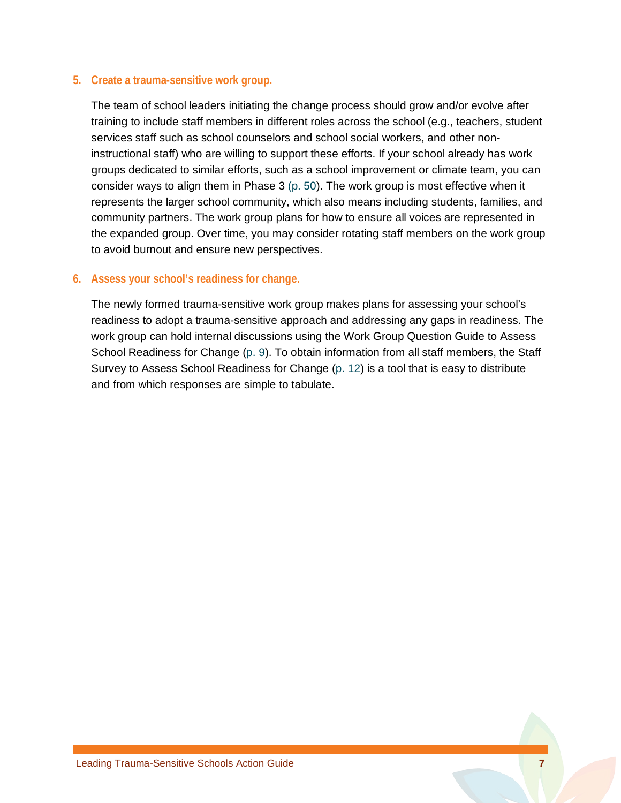#### **5. Create a trauma-sensitive work group.**

The team of school leaders initiating the change process should grow and/or evolve after training to include staff members in different roles across the school (e.g., teachers, student services staff such as school counselors and school social workers, and other noninstructional staff) who are willing to support these efforts. If your school already has work groups dedicated to similar efforts, such as a school improvement or climate team, you can consider ways to align them in Phase 3 [\(p. 50\)](#page-52-0). The work group is most effective when it represents the larger school community, which also means including students, families, and community partners. The work group plans for how to ensure all voices are represented in the expanded group. Over time, you may consider rotating staff members on the work group to avoid burnout and ensure new perspectives.

#### **6. Assess your school's readiness for change.**

The newly formed trauma-sensitive work group makes plans for assessing your school's readiness to adopt a trauma-sensitive approach and addressing any gaps in readiness. The work group can hold internal discussions using the Work Group Question Guide to Assess School Readiness for Change [\(p.](#page-11-0) 9). To obtain information from all staff members, the Staff Survey to Assess School Readiness for Change (p. [12\)](#page-14-0) is a tool that is easy to distribute and from which responses are simple to tabulate.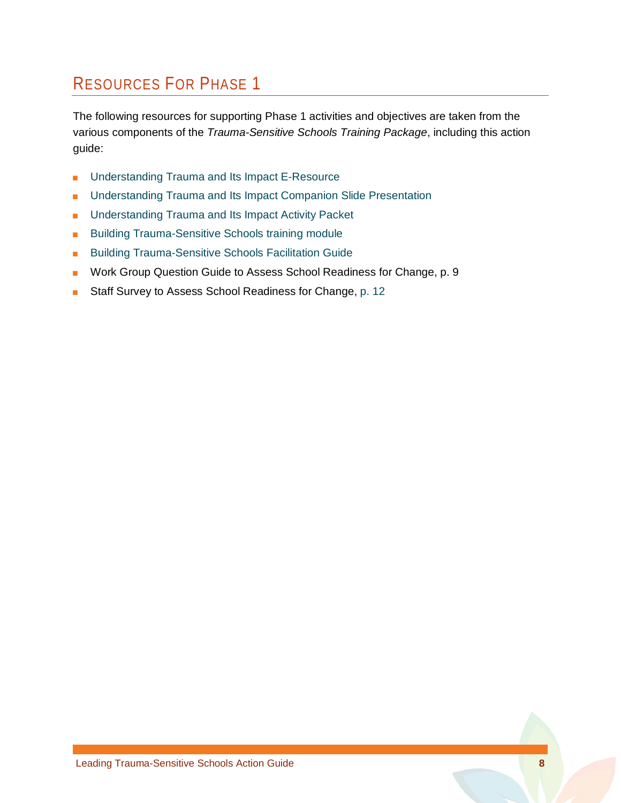## RESOURCES FOR PHASE 1

The following resources for supporting Phase 1 activities and objectives are taken from the various components of the *Trauma-Sensitive Schools Training Package*, including this action guide:

- [Understanding Trauma and Its Impact](http://dev.airprojects.org/trauma/) E-Resource
- [Understanding Trauma and Its Impact Companion Slide Presentation](https://safesupportivelearning.ed.gov/sites/default/files/Understanding_Trauma_and_Its_Impact_Slide_Presentation.pptx)
- [Understanding Trauma and Its Impact Activity Packet](https://safesupportivelearning.ed.gov/sites/default/files/Trauma_101_Activity_Packet.pdf)
- [Building Trauma-Sensitive Schools training module](http://airhsdlearning.airws.org/building-trauma-sensitive-schools/story_html5.html)
- [Building Trauma-Sensitive Schools Facilitation Guide](https://safesupportivelearning.ed.gov/sites/default/files/TSS_Building_Facilitation_Guide.pdf)
- Work Group Question Guide to Assess School Readiness for Change, [p. 9](#page-11-0)
- Staff Survey to Assess School Readiness for Change, [p. 12](#page-14-0)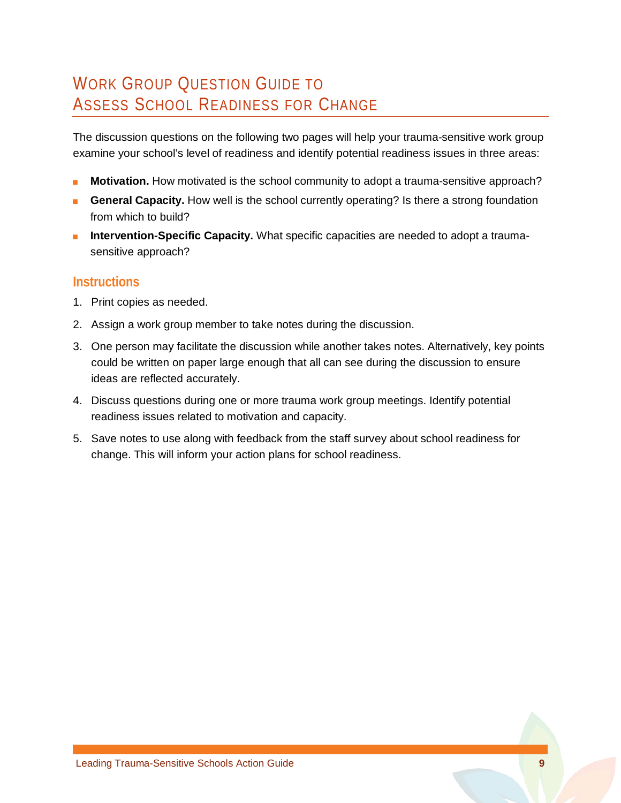## <span id="page-11-0"></span>WORK GROUP QUESTION GUIDE TO ASSESS SCHOOL READINESS FOR CHANGE

The discussion questions on the following two pages will help your trauma-sensitive work group examine your school's level of readiness and identify potential readiness issues in three areas:

- **Motivation.** How motivated is the school community to adopt a trauma-sensitive approach?
- **Budge Capacity.** How well is the school currently operating? Is there a strong foundation from which to build?
- **Intervention-Specific Capacity.** What specific capacities are needed to adopt a traumasensitive approach?

### **Instructions**

- 1. Print copies as needed.
- 2. Assign a work group member to take notes during the discussion.
- 3. One person may facilitate the discussion while another takes notes. Alternatively, key points could be written on paper large enough that all can see during the discussion to ensure ideas are reflected accurately.
- 4. Discuss questions during one or more trauma work group meetings. Identify potential readiness issues related to motivation and capacity.
- 5. Save notes to use along with feedback from the staff survey about school readiness for change. This will inform your action plans for school readiness.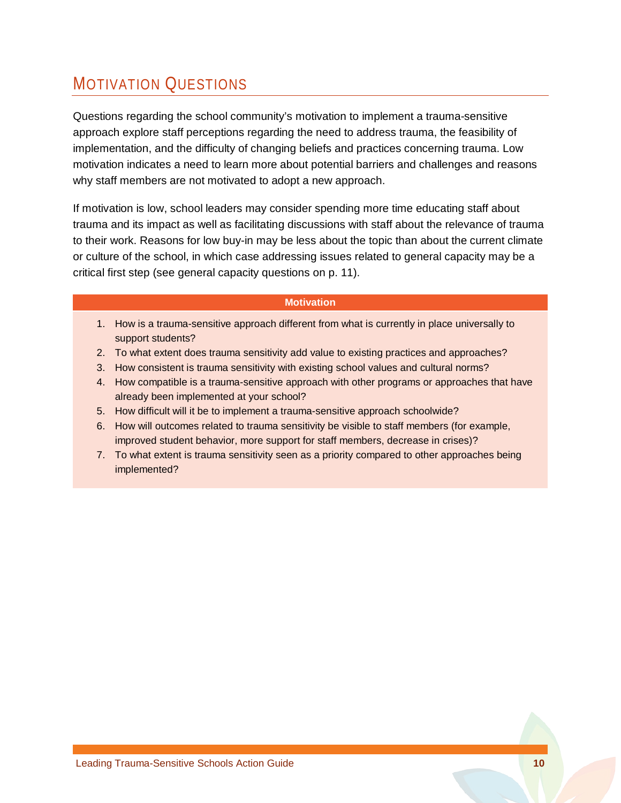## MOTIVATION QUESTIONS

Questions regarding the school community's motivation to implement a trauma-sensitive approach explore staff perceptions regarding the need to address trauma, the feasibility of implementation, and the difficulty of changing beliefs and practices concerning trauma. Low motivation indicates a need to learn more about potential barriers and challenges and reasons why staff members are not motivated to adopt a new approach.

If motivation is low, school leaders may consider spending more time educating staff about trauma and its impact as well as facilitating discussions with staff about the relevance of trauma to their work. Reasons for low buy-in may be less about the topic than about the current climate or culture of the school, in which case addressing issues related to general capacity may be a critical first step (see general capacity questions on p. 11).

#### **Motivation**

- 1. How is a trauma-sensitive approach different from what is currently in place universally to support students?
- 2. To what extent does trauma sensitivity add value to existing practices and approaches?
- 3. How consistent is trauma sensitivity with existing school values and cultural norms?
- 4. How compatible is a trauma-sensitive approach with other programs or approaches that have already been implemented at your school?
- 5. How difficult will it be to implement a trauma-sensitive approach schoolwide?
- 6. How will outcomes related to trauma sensitivity be visible to staff members (for example, improved student behavior, more support for staff members, decrease in crises)?
- 7. To what extent is trauma sensitivity seen as a priority compared to other approaches being implemented?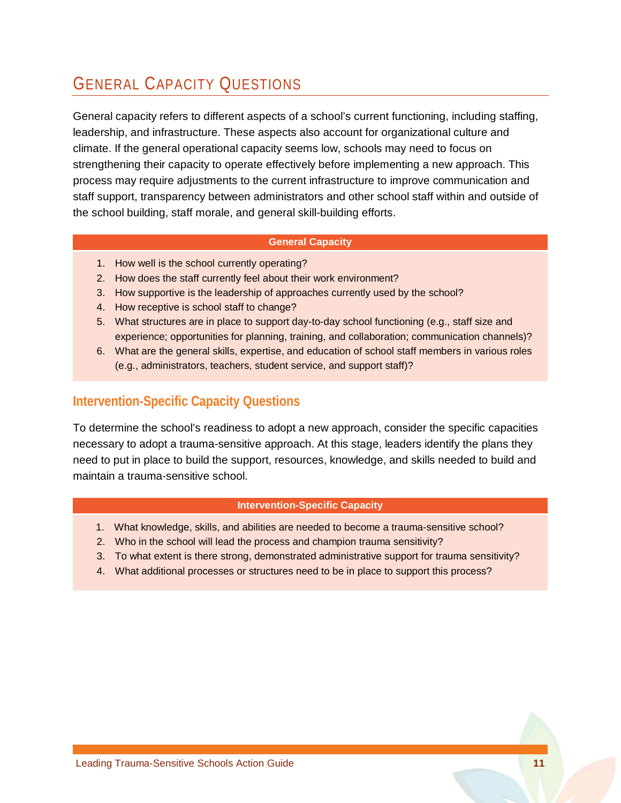## GENERAL CAPACITY QUESTIONS

General capacity refers to different aspects of a school's current functioning, including staffing, leadership, and infrastructure. These aspects also account for organizational culture and climate. If the general operational capacity seems low, schools may need to focus on strengthening their capacity to operate effectively before implementing a new approach. This process may require adjustments to the current infrastructure to improve communication and staff support, transparency between administrators and other school staff within and outside of the school building, staff morale, and general skill-building efforts.

#### **General Capacity**

- 1. How well is the school currently operating?
- 2. How does the staff currently feel about their work environment?
- 3. How supportive is the leadership of approaches currently used by the school?
- 4. How receptive is school staff to change?
- 5. What structures are in place to support day-to-day school functioning (e.g., staff size and experience; opportunities for planning, training, and collaboration; communication channels)?
- 6. What are the general skills, expertise, and education of school staff members in various roles (e.g., administrators, teachers, student service, and support staff)?

#### **Intervention-Specific Capacity Questions**

To determine the school's readiness to adopt a new approach, consider the specific capacities necessary to adopt a trauma-sensitive approach. At this stage, leaders identify the plans they need to put in place to build the support, resources, knowledge, and skills needed to build and maintain a trauma-sensitive school.

#### **Intervention-Specific Capacity**

- 1. What knowledge, skills, and abilities are needed to become a trauma-sensitive school?
- 2. Who in the school will lead the process and champion trauma sensitivity?
- 3. To what extent is there strong, demonstrated administrative support for trauma sensitivity?
- 4. What additional processes or structures need to be in place to support this process?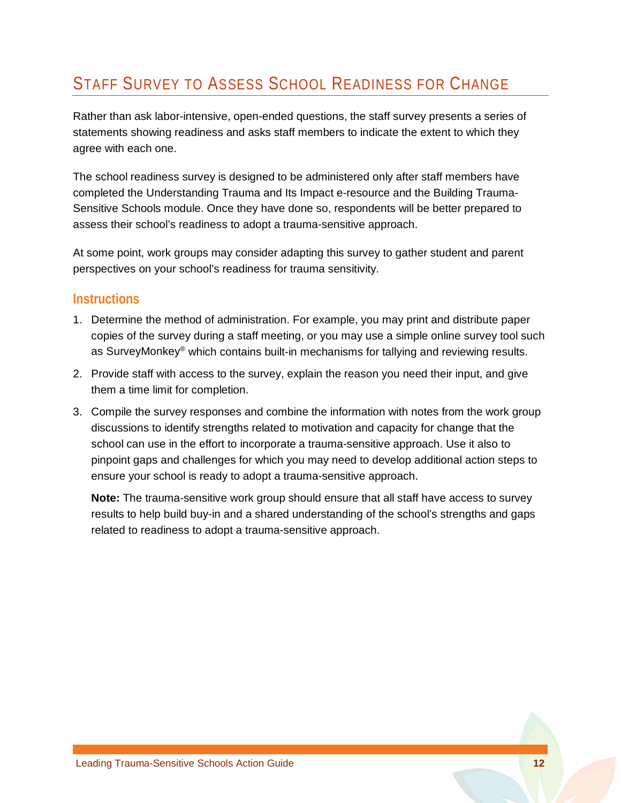## <span id="page-14-0"></span>STAFF SURVEY TO ASSESS SCHOOL READINESS FOR CHANGE

Rather than ask labor-intensive, open-ended questions, the staff survey presents a series of statements showing readiness and asks staff members to indicate the extent to which they agree with each one.

The school readiness survey is designed to be administered only after staff members have completed the Understanding Trauma and Its Impact e-resource and the Building Trauma-Sensitive Schools module. Once they have done so, respondents will be better prepared to assess their school's readiness to adopt a trauma-sensitive approach.

At some point, work groups may consider adapting this survey to gather student and parent perspectives on your school's readiness for trauma sensitivity.

#### **Instructions**

- 1. Determine the method of administration. For example, you may print and distribute paper copies of the survey during a staff meeting, or you may use a simple online survey tool such as SurveyMonkey® which contains built-in mechanisms for tallying and reviewing results.
- 2. Provide staff with access to the survey, explain the reason you need their input, and give them a time limit for completion.
- 3. Compile the survey responses and combine the information with notes from the work group discussions to identify strengths related to motivation and capacity for change that the school can use in the effort to incorporate a trauma-sensitive approach. Use it also to pinpoint gaps and challenges for which you may need to develop additional action steps to ensure your school is ready to adopt a trauma-sensitive approach.

**Note:** The trauma-sensitive work group should ensure that all staff have access to survey results to help build buy-in and a shared understanding of the school's strengths and gaps related to readiness to adopt a trauma-sensitive approach.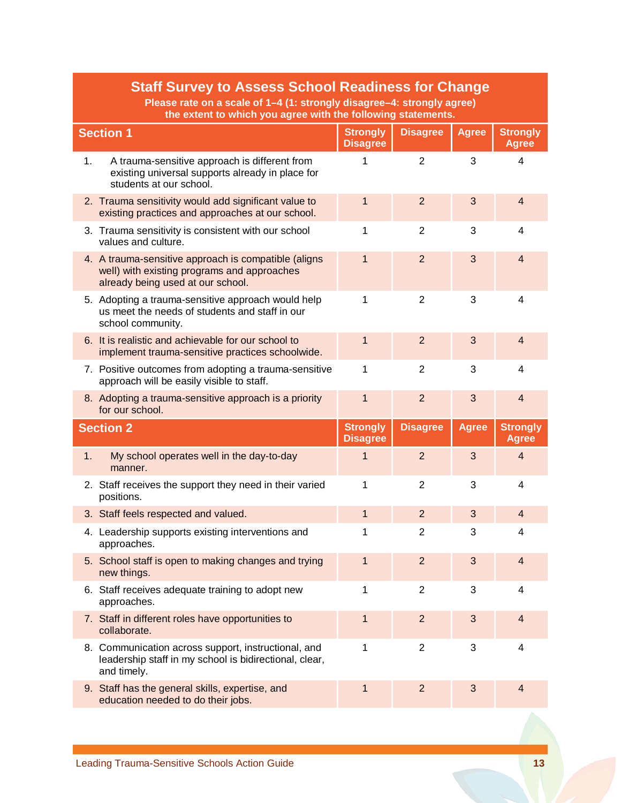|    | <b>Staff Survey to Assess School Readiness for Change</b><br>Please rate on a scale of 1-4 (1: strongly disagree-4: strongly agree)<br>the extent to which you agree with the following statements. |                                    |                 |              |                                 |  |  |
|----|-----------------------------------------------------------------------------------------------------------------------------------------------------------------------------------------------------|------------------------------------|-----------------|--------------|---------------------------------|--|--|
|    | <b>Section 1</b>                                                                                                                                                                                    | <b>Strongly</b><br><b>Disagree</b> | <b>Disagree</b> | <b>Agree</b> | <b>Strongly</b><br><b>Agree</b> |  |  |
| 1. | A trauma-sensitive approach is different from<br>existing universal supports already in place for<br>students at our school.                                                                        | 1                                  | $\overline{2}$  | 3            | $\overline{\mathbf{4}}$         |  |  |
|    | 2. Trauma sensitivity would add significant value to<br>existing practices and approaches at our school.                                                                                            | $\mathbf{1}$                       | $\overline{2}$  | 3            | $\overline{4}$                  |  |  |
|    | 3. Trauma sensitivity is consistent with our school<br>values and culture.                                                                                                                          | 1                                  | $\overline{2}$  | 3            | $\overline{4}$                  |  |  |
|    | 4. A trauma-sensitive approach is compatible (aligns<br>well) with existing programs and approaches<br>already being used at our school.                                                            | $\mathbf{1}$                       | $\overline{2}$  | 3            | $\overline{4}$                  |  |  |
|    | 5. Adopting a trauma-sensitive approach would help<br>us meet the needs of students and staff in our<br>school community.                                                                           | 1                                  | $\overline{2}$  | 3            | 4                               |  |  |
|    | 6. It is realistic and achievable for our school to<br>implement trauma-sensitive practices schoolwide.                                                                                             | 1                                  | $\overline{2}$  | 3            | $\overline{4}$                  |  |  |
|    | 7. Positive outcomes from adopting a trauma-sensitive<br>approach will be easily visible to staff.                                                                                                  | 1                                  | $\overline{2}$  | 3            | 4                               |  |  |
|    | 8. Adopting a trauma-sensitive approach is a priority<br>for our school.                                                                                                                            | $\mathbf{1}$                       | $\overline{2}$  | 3            | $\overline{4}$                  |  |  |
|    | <b>Section 2</b>                                                                                                                                                                                    | <b>Strongly</b><br><b>Disagree</b> | <b>Disagree</b> | <b>Agree</b> | <b>Strongly</b><br><b>Agree</b> |  |  |
| 1. | My school operates well in the day-to-day<br>manner.                                                                                                                                                | 1                                  | $\overline{2}$  | 3            | $\overline{4}$                  |  |  |
|    | 2. Staff receives the support they need in their varied<br>positions.                                                                                                                               | 1                                  | $\overline{2}$  | 3            | 4                               |  |  |
|    | 3. Staff feels respected and valued.                                                                                                                                                                | 1                                  | 2               | 3            | $\overline{4}$                  |  |  |
|    | 4. Leadership supports existing interventions and<br>approaches.                                                                                                                                    | 1                                  | $\overline{2}$  | 3            | 4                               |  |  |
|    | 5. School staff is open to making changes and trying<br>new things.                                                                                                                                 | 1                                  | $\overline{2}$  | 3            | $\overline{4}$                  |  |  |
|    | 6. Staff receives adequate training to adopt new<br>approaches.                                                                                                                                     | 1                                  | $\overline{2}$  | 3            | 4                               |  |  |
|    | 7. Staff in different roles have opportunities to<br>collaborate.                                                                                                                                   | 1                                  | $\overline{2}$  | 3            | $\overline{4}$                  |  |  |
|    | 8. Communication across support, instructional, and<br>leadership staff in my school is bidirectional, clear,<br>and timely.                                                                        | 1                                  | $\overline{2}$  | 3            | $\overline{4}$                  |  |  |
|    | 9. Staff has the general skills, expertise, and<br>education needed to do their jobs.                                                                                                               | 1                                  | $\overline{2}$  | 3            | 4                               |  |  |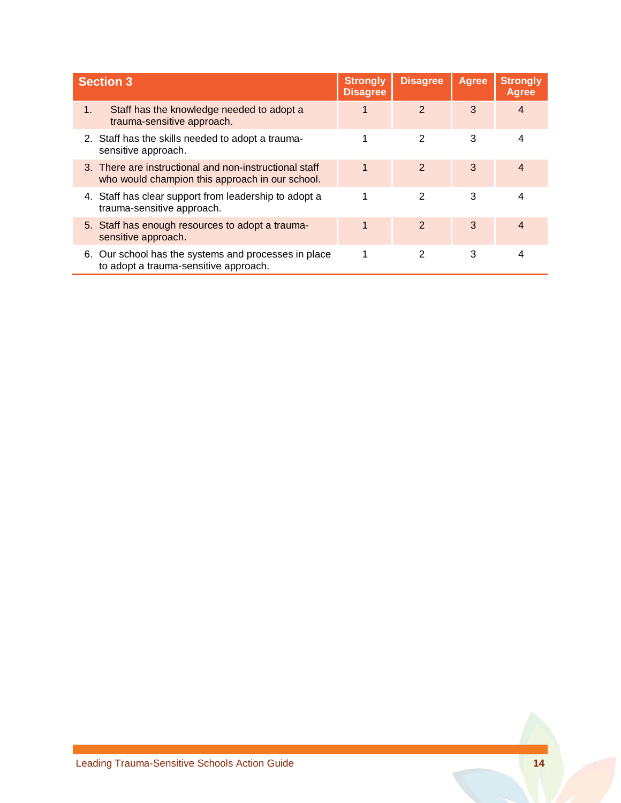|    | <b>Section 3</b>                                                                                          |  | <b>Disagree</b> | <b>Agree</b> | <b>Strongly</b><br><b>Agree</b> |
|----|-----------------------------------------------------------------------------------------------------------|--|-----------------|--------------|---------------------------------|
| 1. | Staff has the knowledge needed to adopt a<br>trauma-sensitive approach.                                   |  | $\overline{2}$  | 3            | 4                               |
|    | 2. Staff has the skills needed to adopt a trauma-<br>sensitive approach.                                  |  | 2               | 3            | 4                               |
|    | 3. There are instructional and non-instructional staff<br>who would champion this approach in our school. |  | 2               | 3            | 4                               |
|    | 4. Staff has clear support from leadership to adopt a<br>trauma-sensitive approach.                       |  | 2               | 3            | 4                               |
|    | 5. Staff has enough resources to adopt a trauma-<br>sensitive approach.                                   |  | $\mathcal{P}$   | 3            | $\overline{\mathbf{4}}$         |
|    | 6. Our school has the systems and processes in place<br>to adopt a trauma-sensitive approach.             |  | 2               | 3            | 4                               |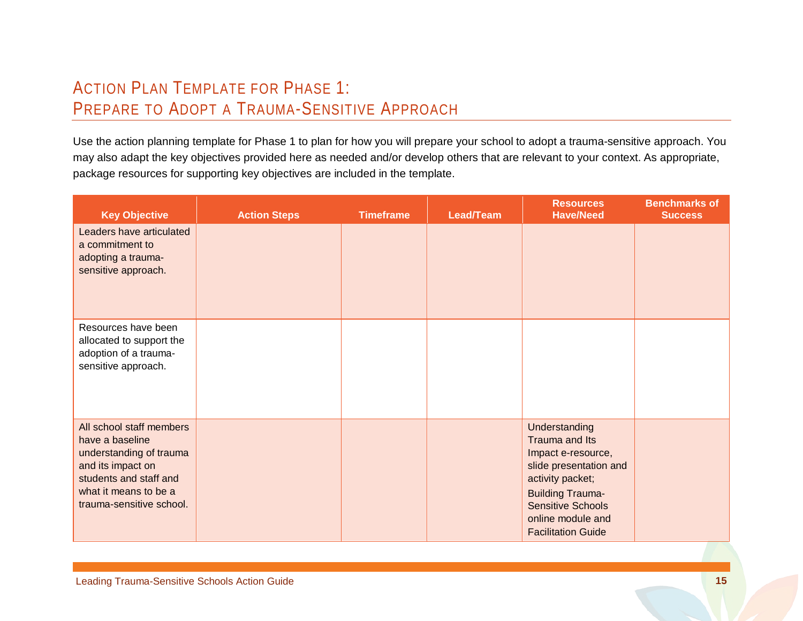## ACTION PLAN TEMPLATE FOR PHASE 1: PREPARE TO ADOPT A TRAUMA-SENSITIVE APPROACH

Use the action planning template for Phase 1 to plan for how you will prepare your school to adopt a trauma-sensitive approach. You may also adapt the key objectives provided here as needed and/or develop others that are relevant to your context. As appropriate, package resources for supporting key objectives are included in the template.

<span id="page-17-0"></span>

| <b>Key Objective</b>                                                                                                                                                       | <b>Action Steps</b> | <b>Timeframe</b> | <b>Lead/Team</b> | <b>Resources</b><br><b>Have/Need</b>                                                                                                                                                                         | <b>Benchmarks of</b><br><b>Success</b> |
|----------------------------------------------------------------------------------------------------------------------------------------------------------------------------|---------------------|------------------|------------------|--------------------------------------------------------------------------------------------------------------------------------------------------------------------------------------------------------------|----------------------------------------|
| Leaders have articulated<br>a commitment to<br>adopting a trauma-<br>sensitive approach.                                                                                   |                     |                  |                  |                                                                                                                                                                                                              |                                        |
| Resources have been<br>allocated to support the<br>adoption of a trauma-<br>sensitive approach.                                                                            |                     |                  |                  |                                                                                                                                                                                                              |                                        |
| All school staff members<br>have a baseline<br>understanding of trauma<br>and its impact on<br>students and staff and<br>what it means to be a<br>trauma-sensitive school. |                     |                  |                  | Understanding<br>Trauma and Its<br>Impact e-resource,<br>slide presentation and<br>activity packet;<br><b>Building Trauma-</b><br><b>Sensitive Schools</b><br>online module and<br><b>Facilitation Guide</b> |                                        |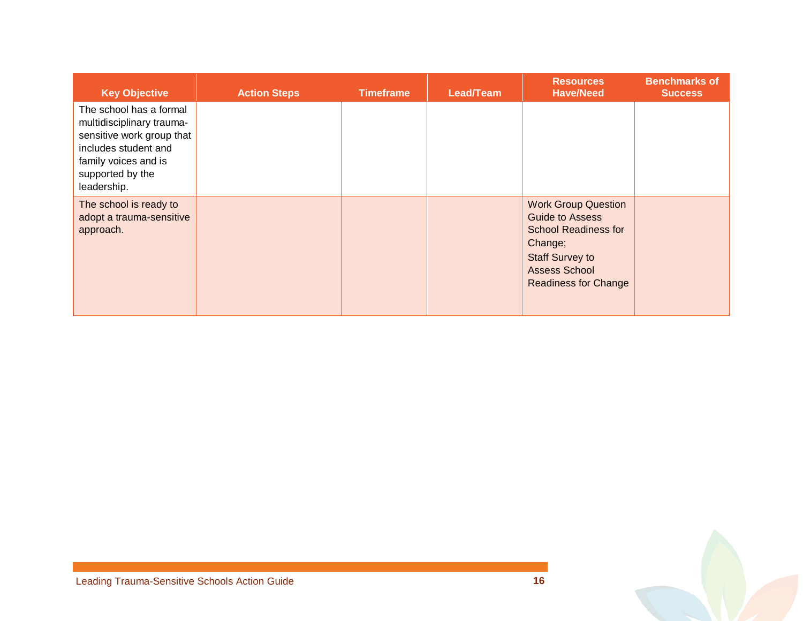| <b>Key Objective</b>                                                                                                                                                 | <b>Action Steps</b> | <b>Timeframe</b> | Lead/Team | <b>Resources</b><br><b>Have/Need</b>                                                                                                                                            | <b>Benchmarks of</b><br><b>Success</b> |
|----------------------------------------------------------------------------------------------------------------------------------------------------------------------|---------------------|------------------|-----------|---------------------------------------------------------------------------------------------------------------------------------------------------------------------------------|----------------------------------------|
| The school has a formal<br>multidisciplinary trauma-<br>sensitive work group that<br>includes student and<br>family voices and is<br>supported by the<br>leadership. |                     |                  |           |                                                                                                                                                                                 |                                        |
| The school is ready to<br>adopt a trauma-sensitive<br>approach.                                                                                                      |                     |                  |           | <b>Work Group Question</b><br><b>Guide to Assess</b><br><b>School Readiness for</b><br>Change;<br><b>Staff Survey to</b><br><b>Assess School</b><br><b>Readiness for Change</b> |                                        |

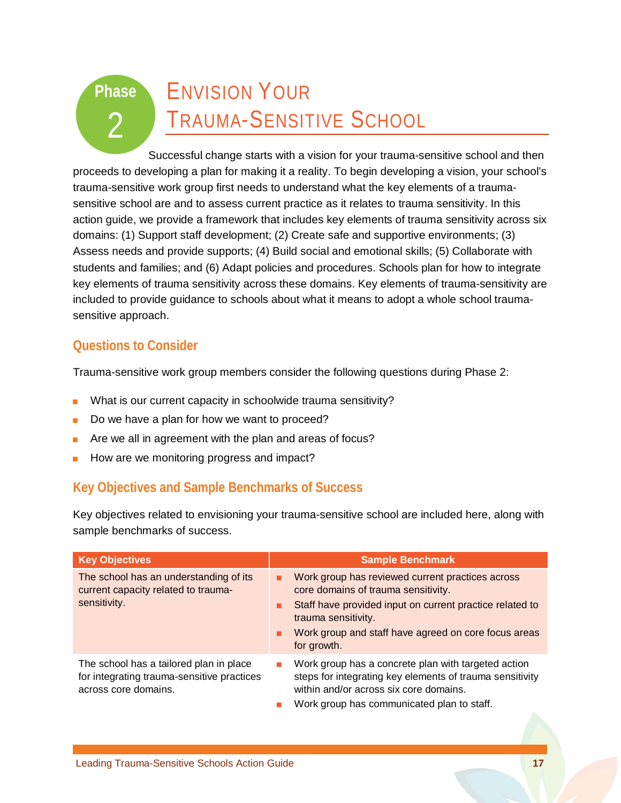## ENVISION YOUR TRAUMA-SENSITIVE SCHOOL **Phase**   $\mathcal{P}$

Successful change starts with a vision for your trauma-sensitive school and then proceeds to developing a plan for making it a reality. To begin developing a vision, your school's trauma-sensitive work group first needs to understand what the key elements of a traumasensitive school are and to assess current practice as it relates to trauma sensitivity. In this action guide, we provide a framework that includes key elements of trauma sensitivity across six domains: (1) Support staff development; (2) Create safe and supportive environments; (3) Assess needs and provide supports; (4) Build social and emotional skills; (5) Collaborate with students and families; and (6) Adapt policies and procedures. Schools plan for how to integrate key elements of trauma sensitivity across these domains. Key elements of trauma-sensitivity are included to provide guidance to schools about what it means to adopt a whole school traumasensitive approach.

### **Questions to Consider**

Trauma-sensitive work group members consider the following questions during Phase 2:

- What is our current capacity in schoolwide trauma sensitivity?
- Do we have a plan for how we want to proceed?
- Are we all in agreement with the plan and areas of focus?
- How are we monitoring progress and impact?

## **Key Objectives and Sample Benchmarks of Success**

Key objectives related to envisioning your trauma-sensitive school are included here, along with sample benchmarks of success.

| <b>Key Objectives</b>                                                                                         | <b>Sample Benchmark</b>                                                                                                                                                                                                                                     |
|---------------------------------------------------------------------------------------------------------------|-------------------------------------------------------------------------------------------------------------------------------------------------------------------------------------------------------------------------------------------------------------|
| The school has an understanding of its<br>current capacity related to trauma-<br>sensitivity.                 | Work group has reviewed current practices across<br>٠<br>core domains of trauma sensitivity.<br>Staff have provided input on current practice related to<br>trauma sensitivity.<br>Work group and staff have agreed on core focus areas<br>п<br>for growth. |
| The school has a tailored plan in place<br>for integrating trauma-sensitive practices<br>across core domains. | Work group has a concrete plan with targeted action<br>steps for integrating key elements of trauma sensitivity<br>within and/or across six core domains.<br>Work group has communicated plan to staff.                                                     |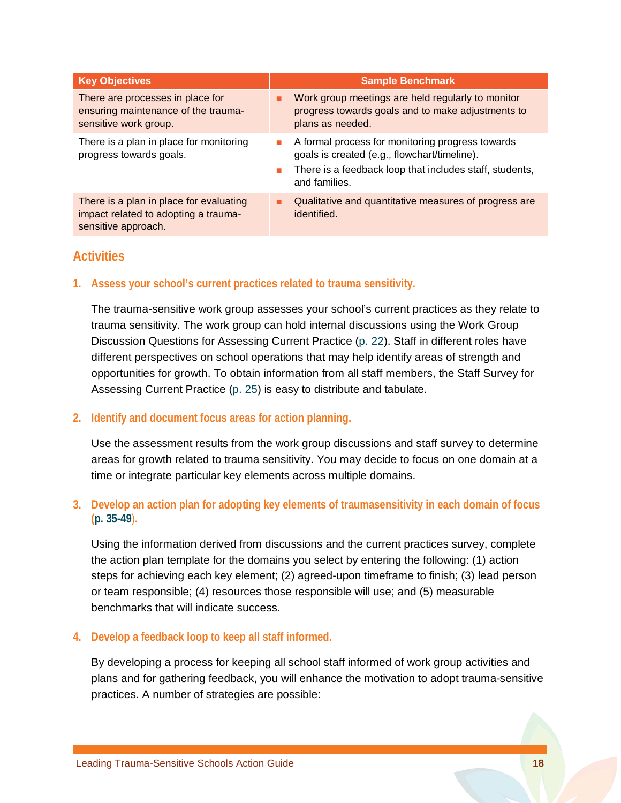| <b>Key Objectives</b>                                              | <b>Sample Benchmark</b>                                                                                                                                                           |
|--------------------------------------------------------------------|-----------------------------------------------------------------------------------------------------------------------------------------------------------------------------------|
| There are processes in place for                                   | Work group meetings are held regularly to monitor                                                                                                                                 |
| ensuring maintenance of the trauma-                                | progress towards goals and to make adjustments to                                                                                                                                 |
| sensitive work group.                                              | plans as needed.                                                                                                                                                                  |
| There is a plan in place for monitoring<br>progress towards goals. | A formal process for monitoring progress towards<br>п<br>goals is created (e.g., flowchart/timeline).<br>There is a feedback loop that includes staff, students,<br>and families. |
| There is a plan in place for evaluating                            | Qualitative and quantitative measures of progress are                                                                                                                             |
| impact related to adopting a trauma-                               | ٠                                                                                                                                                                                 |
| sensitive approach.                                                | identified.                                                                                                                                                                       |

### **Activities**

**1. Assess your school's current practices related to trauma sensitivity.** 

The trauma-sensitive work group assesses your school's current practices as they relate to trauma sensitivity. The work group can hold internal discussions using the Work Group Discussion Questions for Assessing Current Practice [\(p. 22\)](#page-24-0). Staff in different roles have different perspectives on school operations that may help identify areas of strength and opportunities for growth. To obtain information from all staff members, the Staff Survey for Assessing Current Practice [\(p. 25\)](#page-27-0) is easy to distribute and tabulate.

#### **2. Identify and document focus areas for action planning.**

Use the assessment results from the work group discussions and staff survey to determine areas for growth related to trauma sensitivity. You may decide to focus on one domain at a time or integrate particular key elements across multiple domains.

#### **3. Develop an action plan for adopting key elements of traumasensitivity in each domain of focus [\(p. 35-49](#page-37-0)**)**.**

Using the information derived from discussions and the current practices survey, complete the action plan template for the domains you select by entering the following: (1) action steps for achieving each key element; (2) agreed-upon timeframe to finish; (3) lead person or team responsible; (4) resources those responsible will use; and (5) measurable benchmarks that will indicate success.

#### **4. Develop a feedback loop to keep all staff informed.**

By developing a process for keeping all school staff informed of work group activities and plans and for gathering feedback, you will enhance the motivation to adopt trauma-sensitive practices. A number of strategies are possible: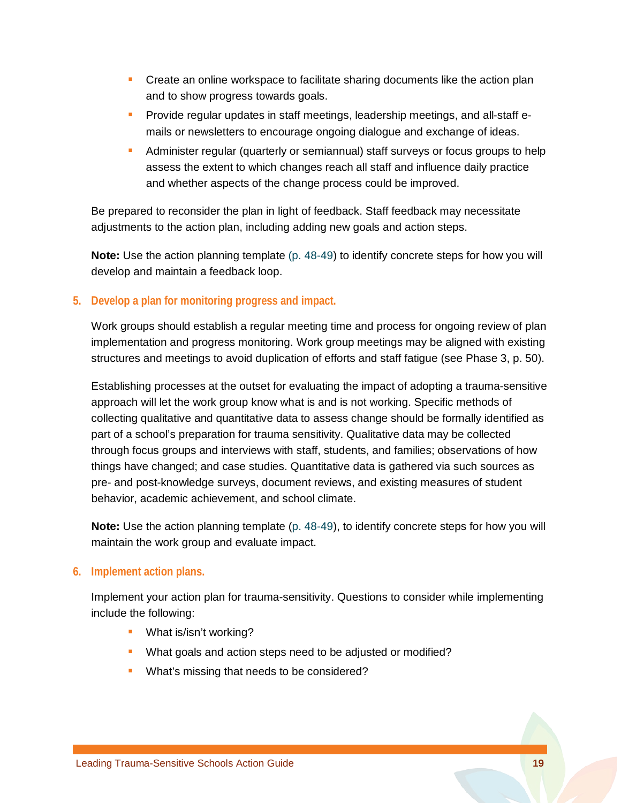- **Create an online workspace to facilitate sharing documents like the action plan** and to show progress towards goals.
- **Provide regular updates in staff meetings, leadership meetings, and all-staff e**mails or newsletters to encourage ongoing dialogue and exchange of ideas.
- **Administer regular (quarterly or semiannual) staff surveys or focus groups to help** assess the extent to which changes reach all staff and influence daily practice and whether aspects of the change process could be improved.

Be prepared to reconsider the plan in light of feedback. Staff feedback may necessitate adjustments to the action plan, including adding new goals and action steps.

**Note:** Use the action planning template [\(p. 48-49\)](#page-50-0) to identify concrete steps for how you will develop and maintain a feedback loop.

#### **5. Develop a plan for monitoring progress and impact.**

Work groups should establish a regular meeting time and process for ongoing review of plan implementation and progress monitoring. Work group meetings may be aligned with existing structures and meetings to avoid duplication of efforts and staff fatigue (see Phase 3, p. 50).

Establishing processes at the outset for evaluating the impact of adopting a trauma-sensitive approach will let the work group know what is and is not working. Specific methods of collecting qualitative and quantitative data to assess change should be formally identified as part of a school's preparation for trauma sensitivity. Qualitative data may be collected through focus groups and interviews with staff, students, and families; observations of how things have changed; and case studies. Quantitative data is gathered via such sources as pre- and post-knowledge surveys, document reviews, and existing measures of student behavior, academic achievement, and school climate.

**Note:** Use the action planning template [\(p. 48-49\)](#page-50-0), to identify concrete steps for how you will maintain the work group and evaluate impact.

#### **6. Implement action plans.**

Implement your action plan for trauma-sensitivity. Questions to consider while implementing include the following:

- **What is/isn't working?**
- What goals and action steps need to be adjusted or modified?
- **What's missing that needs to be considered?**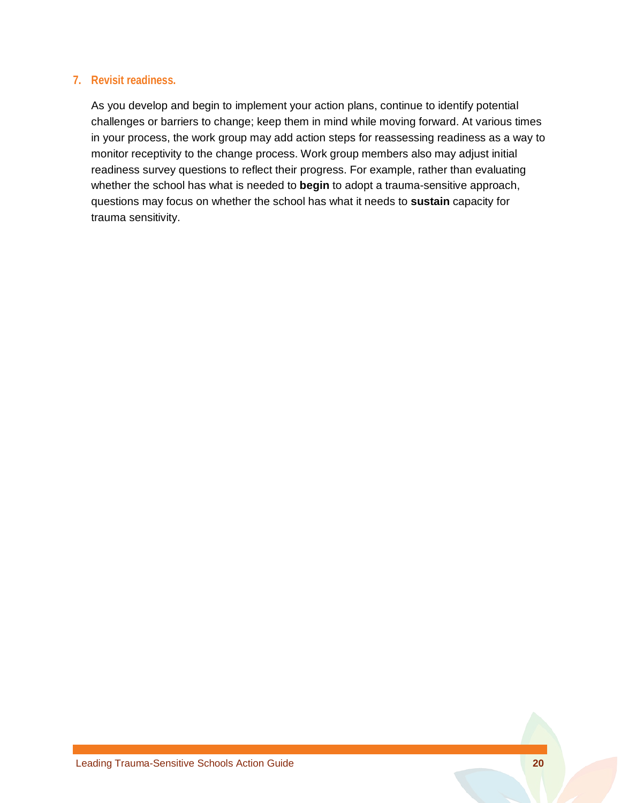#### **7. Revisit readiness.**

As you develop and begin to implement your action plans, continue to identify potential challenges or barriers to change; keep them in mind while moving forward. At various times in your process, the work group may add action steps for reassessing readiness as a way to monitor receptivity to the change process. Work group members also may adjust initial readiness survey questions to reflect their progress. For example, rather than evaluating whether the school has what is needed to **begin** to adopt a trauma-sensitive approach, questions may focus on whether the school has what it needs to **sustain** capacity for trauma sensitivity.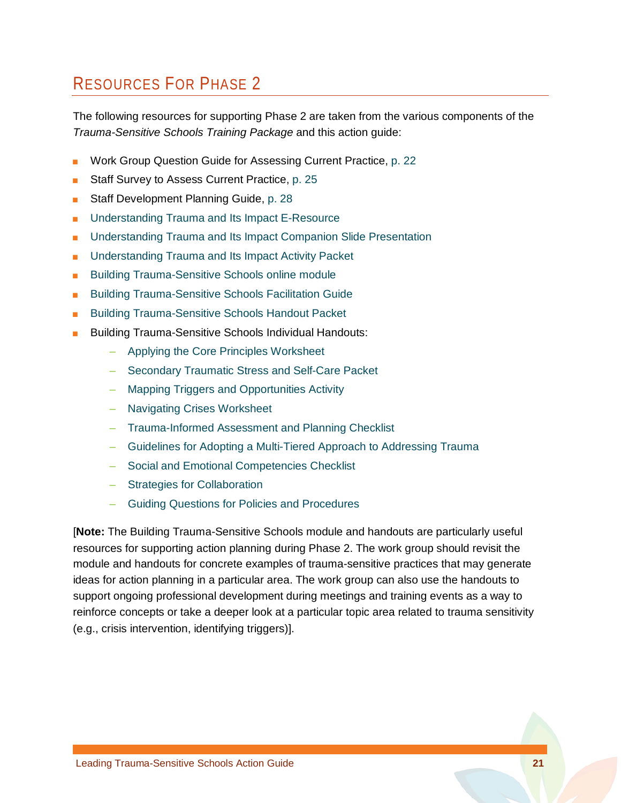## RESOURCES FOR PHASE 2

The following resources for supporting Phase 2 are taken from the various components of the *Trauma-Sensitive Schools Training Package* and this action guide:

- Work Group Question Guide for Assessing Current Practice, p. [22](#page-24-0)
- Staff Survey to Assess Current Practice, p. [25](#page-27-0)
- Staff Development Planning Guide, [p. 28](#page-29-0)
- [Understanding Trauma and Its Impact E-Resource](http://dev.airprojects.org/trauma/)
- Understanding Trauma and Its Impact Companion Slide Presentation
- Understanding Trauma and Its Impact Activity Packet
- **[Building Trauma-Sensitive Schools online module](http://airhsdlearning.airws.org/building-trauma-sensitive-schools/story_html5.html)**
- **[Building Trauma-Sensitive Schools Facilitation Guide](https://safesupportivelearning.ed.gov/sites/default/files/TSS_Building_Facilitation_Guide.pdf)**
- **[Building Trauma-Sensitive Schools Handout Packet](https://safesupportivelearning.ed.gov/sites/default/files/Building_TSS_Handout_Packet_ALL.pdf)**
- **Building Trauma-Sensitive Schools Individual Handouts:** 
	- Applying the Core [Principles Worksheet](https://safesupportivelearning.ed.gov/sites/default/files/Building_TSS_Handout_1applying_core_principles.pdf)
	- [Secondary Traumatic Stress and Self-Care Packet](https://safesupportivelearning.ed.gov/sites/default/files/Building_TSS_Handout_2secondary_trauma.pdf)
	- [Mapping Triggers and Opportunities Activity](https://safesupportivelearning.ed.gov/sites/default/files/Building_TSS_Handout_3mapping_triggers.pdf)
	- [Navigating Crises Worksheet](https://safesupportivelearning.ed.gov/sites/default/files/Building_TSS_Handout_4navigating_crises.pdf)
	- [Trauma-Informed Assessment and Planning Checklist](https://safesupportivelearning.ed.gov/sites/default/files/Building_TSS_Handout_5assessment_and_planning.pdf)
	- [Guidelines for Adopting a Multi-Tiered Approach to Addressing Trauma](https://safesupportivelearning.ed.gov/sites/default/files/Building_TSS_Handout_6_guidelines_multitiered_approach.pdf)
	- [Social and Emotional Competencies Checklist](https://safesupportivelearning.ed.gov/sites/default/files/Building_TSS_Handout_7_social_and_emotional_competencies.pdf)
	- [Strategies for Collaboration](https://safesupportivelearning.ed.gov/sites/default/files/Building_TSS_Handout_8_collaboration.pdf)
	- [Guiding Questions for Policies and Procedures](https://safesupportivelearning.ed.gov/sites/default/files/Building_TSS_Handout_9policies_and_procedures.pdf)

[**Note:** The Building Trauma-Sensitive Schools module and handouts are particularly useful resources for supporting action planning during Phase 2. The work group should revisit the module and handouts for concrete examples of trauma-sensitive practices that may generate ideas for action planning in a particular area. The work group can also use the handouts to support ongoing professional development during meetings and training events as a way to reinforce concepts or take a deeper look at a particular topic area related to trauma sensitivity (e.g., crisis intervention, identifying triggers)].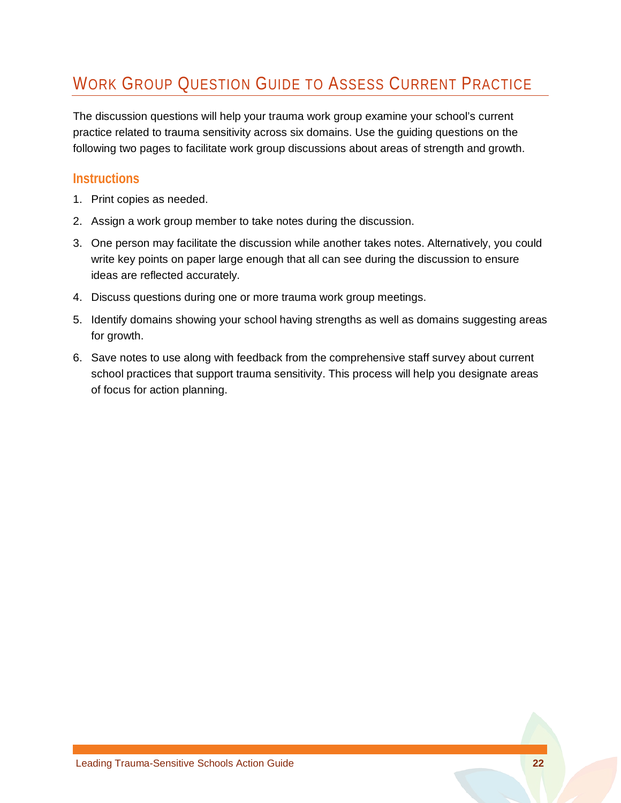## <span id="page-24-0"></span>WORK GROUP QUESTION GUIDE TO ASSESS CURRENT PRACTICE

The discussion questions will help your trauma work group examine your school's current practice related to trauma sensitivity across six domains. Use the guiding questions on the following two pages to facilitate work group discussions about areas of strength and growth.

### **Instructions**

- 1. Print copies as needed.
- 2. Assign a work group member to take notes during the discussion.
- 3. One person may facilitate the discussion while another takes notes. Alternatively, you could write key points on paper large enough that all can see during the discussion to ensure ideas are reflected accurately.
- 4. Discuss questions during one or more trauma work group meetings.
- 5. Identify domains showing your school having strengths as well as domains suggesting areas for growth.
- 6. Save notes to use along with feedback from the comprehensive staff survey about current school practices that support trauma sensitivity. This process will help you designate areas of focus for action planning.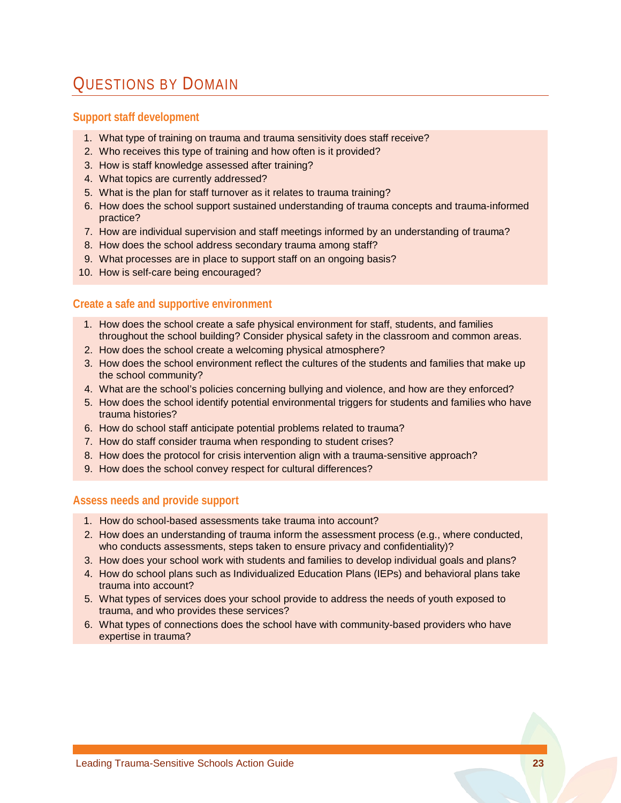## QUESTIONS BY DOMAIN

#### **Support staff development**

- 1. What type of training on trauma and trauma sensitivity does staff receive?
- 2. Who receives this type of training and how often is it provided?
- 3. How is staff knowledge assessed after training?
- 4. What topics are currently addressed?
- 5. What is the plan for staff turnover as it relates to trauma training?
- 6. How does the school support sustained understanding of trauma concepts and trauma-informed practice?
- 7. How are individual supervision and staff meetings informed by an understanding of trauma?
- 8. How does the school address secondary trauma among staff?
- 9. What processes are in place to support staff on an ongoing basis?
- 10. How is self-care being encouraged?

#### **Create a safe and supportive environment**

- 1. How does the school create a safe physical environment for staff, students, and families throughout the school building? Consider physical safety in the classroom and common areas.
- 2. How does the school create a welcoming physical atmosphere?
- 3. How does the school environment reflect the cultures of the students and families that make up the school community?
- 4. What are the school's policies concerning bullying and violence, and how are they enforced?
- 5. How does the school identify potential environmental triggers for students and families who have trauma histories?
- 6. How do school staff anticipate potential problems related to trauma?
- 7. How do staff consider trauma when responding to student crises?
- 8. How does the protocol for crisis intervention align with a trauma-sensitive approach?
- 9. How does the school convey respect for cultural differences?

#### **Assess needs and provide support**

- 1. How do school-based assessments take trauma into account?
- 2. How does an understanding of trauma inform the assessment process (e.g., where conducted, who conducts assessments, steps taken to ensure privacy and confidentiality)?
- 3. How does your school work with students and families to develop individual goals and plans?
- 4. How do school plans such as Individualized Education Plans (IEPs) and behavioral plans take trauma into account?
- 5. What types of services does your school provide to address the needs of youth exposed to trauma, and who provides these services?
- 6. What types of connections does the school have with community-based providers who have expertise in trauma?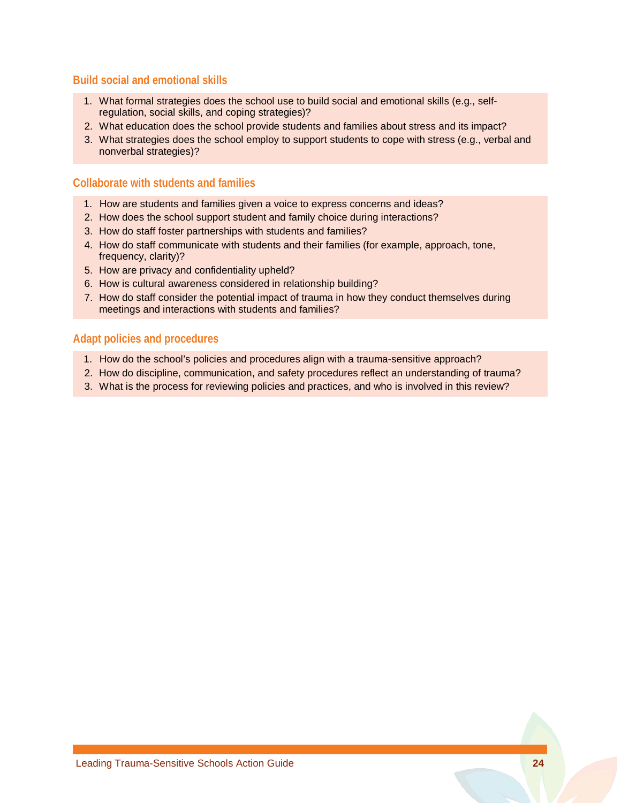#### **Build social and emotional skills**

- 1. What formal strategies does the school use to build social and emotional skills (e.g., selfregulation, social skills, and coping strategies)?
- 2. What education does the school provide students and families about stress and its impact?
- 3. What strategies does the school employ to support students to cope with stress (e.g., verbal and nonverbal strategies)?

#### **Collaborate with students and families**

- 1. How are students and families given a voice to express concerns and ideas?
- 2. How does the school support student and family choice during interactions?
- 3. How do staff foster partnerships with students and families?
- 4. How do staff communicate with students and their families (for example, approach, tone, frequency, clarity)?
- 5. How are privacy and confidentiality upheld?
- 6. How is cultural awareness considered in relationship building?
- 7. How do staff consider the potential impact of trauma in how they conduct themselves during meetings and interactions with students and families?

#### **Adapt policies and procedures**

- 1. How do the school's policies and procedures align with a trauma-sensitive approach?
- 2. How do discipline, communication, and safety procedures reflect an understanding of trauma?
- 3. What is the process for reviewing policies and practices, and who is involved in this review?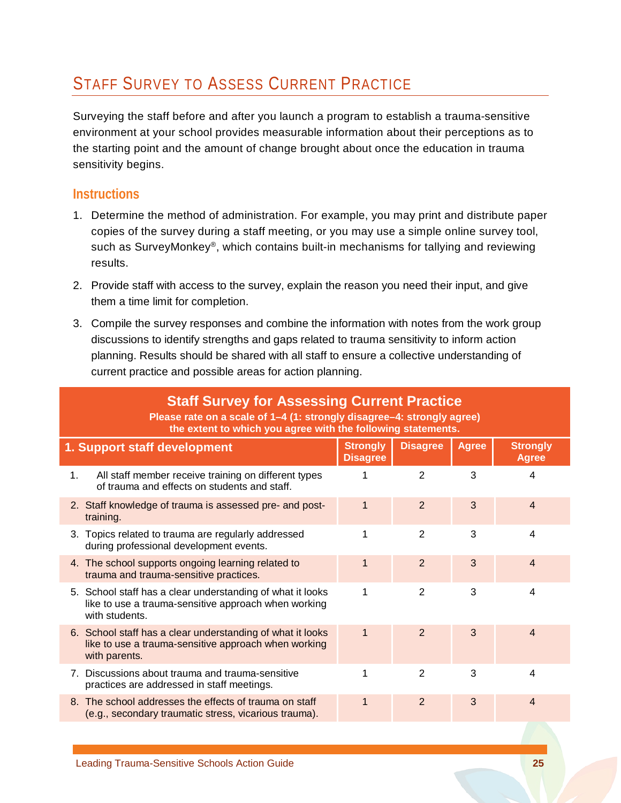## <span id="page-27-0"></span>STAFF SURVEY TO ASSESS CURRENT PRACTICE

Surveying the staff before and after you launch a program to establish a trauma-sensitive environment at your school provides measurable information about their perceptions as to the starting point and the amount of change brought about once the education in trauma sensitivity begins.

### **Instructions**

- 1. Determine the method of administration. For example, you may print and distribute paper copies of the survey during a staff meeting, or you may use a simple online survey tool, such as SurveyMonkey®, which contains built-in mechanisms for tallying and reviewing results.
- 2. Provide staff with access to the survey, explain the reason you need their input, and give them a time limit for completion.
- 3. Compile the survey responses and combine the information with notes from the work group discussions to identify strengths and gaps related to trauma sensitivity to inform action planning. Results should be shared with all staff to ensure a collective understanding of current practice and possible areas for action planning.

| <b>Staff Survey for Assessing Current Practice</b><br>Please rate on a scale of 1-4 (1: strongly disagree-4: strongly agree)             |                                                                                                                                                                                                                                                                                                                                                                                                                      |                |   |                                                              |  |  |  |
|------------------------------------------------------------------------------------------------------------------------------------------|----------------------------------------------------------------------------------------------------------------------------------------------------------------------------------------------------------------------------------------------------------------------------------------------------------------------------------------------------------------------------------------------------------------------|----------------|---|--------------------------------------------------------------|--|--|--|
| <b>Disagree</b><br><b>Strongly</b><br><b>Agree</b><br><b>Strongly</b><br>1. Support staff development<br><b>Disagree</b><br><b>Agree</b> |                                                                                                                                                                                                                                                                                                                                                                                                                      |                |   |                                                              |  |  |  |
| All staff member receive training on different types<br>of trauma and effects on students and staff.                                     | 1                                                                                                                                                                                                                                                                                                                                                                                                                    | $\overline{2}$ | 3 | 4                                                            |  |  |  |
| training.                                                                                                                                | 1                                                                                                                                                                                                                                                                                                                                                                                                                    | $\overline{2}$ | 3 | $\overline{4}$                                               |  |  |  |
| during professional development events.                                                                                                  | 1                                                                                                                                                                                                                                                                                                                                                                                                                    | 2              | 3 | 4                                                            |  |  |  |
| trauma and trauma-sensitive practices.                                                                                                   | 1                                                                                                                                                                                                                                                                                                                                                                                                                    | $\overline{2}$ | 3 | $\overline{4}$                                               |  |  |  |
| like to use a trauma-sensitive approach when working<br>with students.                                                                   | 1                                                                                                                                                                                                                                                                                                                                                                                                                    | $\overline{2}$ | 3 | 4                                                            |  |  |  |
| like to use a trauma-sensitive approach when working<br>with parents.                                                                    | $\mathbf{1}$                                                                                                                                                                                                                                                                                                                                                                                                         | $\overline{2}$ | 3 | $\overline{4}$                                               |  |  |  |
| practices are addressed in staff meetings.                                                                                               | 1                                                                                                                                                                                                                                                                                                                                                                                                                    | $\overline{2}$ | 3 | $\overline{\mathbf{4}}$                                      |  |  |  |
| (e.g., secondary traumatic stress, vicarious trauma).                                                                                    | 1                                                                                                                                                                                                                                                                                                                                                                                                                    | 2              | 3 | 4                                                            |  |  |  |
|                                                                                                                                          | 1.<br>2. Staff knowledge of trauma is assessed pre- and post-<br>3. Topics related to trauma are regularly addressed<br>4. The school supports ongoing learning related to<br>5. School staff has a clear understanding of what it looks<br>6. School staff has a clear understanding of what it looks<br>7. Discussions about trauma and trauma-sensitive<br>8. The school addresses the effects of trauma on staff |                |   | the extent to which you agree with the following statements. |  |  |  |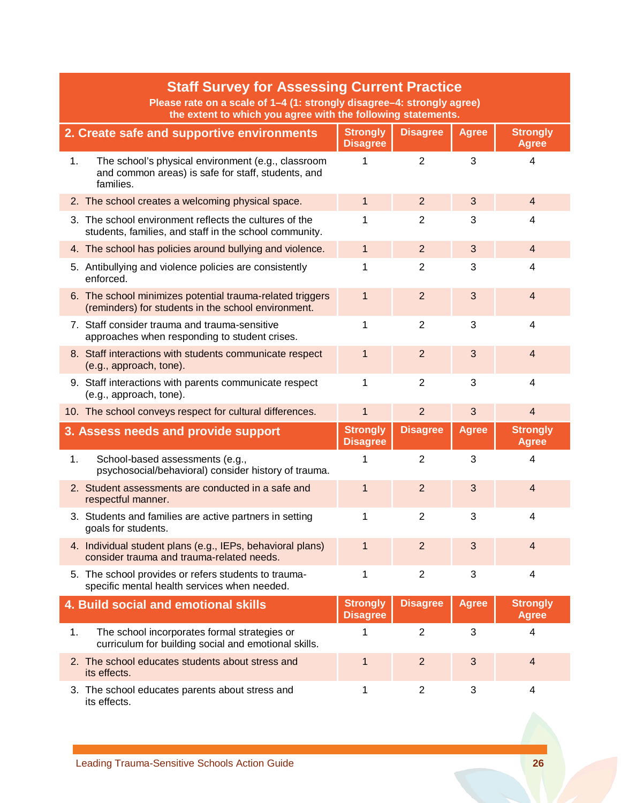|    | <b>Staff Survey for Assessing Current Practice</b><br>Please rate on a scale of 1-4 (1: strongly disagree-4: strongly agree)<br>the extent to which you agree with the following statements. |                                    |                 |              |                                 |  |  |
|----|----------------------------------------------------------------------------------------------------------------------------------------------------------------------------------------------|------------------------------------|-----------------|--------------|---------------------------------|--|--|
|    | 2. Create safe and supportive environments                                                                                                                                                   | <b>Strongly</b><br><b>Disagree</b> | <b>Disagree</b> | <b>Agree</b> | <b>Strongly</b><br><b>Agree</b> |  |  |
| 1. | The school's physical environment (e.g., classroom<br>and common areas) is safe for staff, students, and<br>families.                                                                        | 1                                  | $\overline{2}$  | 3            | $\overline{4}$                  |  |  |
|    | 2. The school creates a welcoming physical space.                                                                                                                                            | $\mathbf{1}$                       | $\overline{2}$  | 3            | $\overline{4}$                  |  |  |
|    | 3. The school environment reflects the cultures of the<br>students, families, and staff in the school community.                                                                             | 1                                  | $\overline{2}$  | 3            | 4                               |  |  |
|    | 4. The school has policies around bullying and violence.                                                                                                                                     | $\mathbf{1}$                       | $\overline{2}$  | 3            | $\overline{4}$                  |  |  |
|    | 5. Antibullying and violence policies are consistently<br>enforced.                                                                                                                          | 1                                  | $\overline{2}$  | 3            | 4                               |  |  |
|    | 6. The school minimizes potential trauma-related triggers<br>(reminders) for students in the school environment.                                                                             | 1                                  | $\overline{2}$  | 3            | $\overline{4}$                  |  |  |
|    | 7. Staff consider trauma and trauma-sensitive<br>approaches when responding to student crises.                                                                                               | 1                                  | $\overline{2}$  | 3            | $\overline{4}$                  |  |  |
|    | 8. Staff interactions with students communicate respect<br>(e.g., approach, tone).                                                                                                           | 1                                  | $\overline{2}$  | 3            | $\overline{4}$                  |  |  |
|    | 9. Staff interactions with parents communicate respect<br>(e.g., approach, tone).                                                                                                            | 1                                  | $\overline{2}$  | 3            | $\overline{4}$                  |  |  |
|    | 10. The school conveys respect for cultural differences.                                                                                                                                     | $\mathbf{1}$                       | $\overline{2}$  | 3            | $\overline{4}$                  |  |  |
|    | 3. Assess needs and provide support                                                                                                                                                          | <b>Strongly</b><br><b>Disagree</b> | <b>Disagree</b> | <b>Agree</b> | <b>Strongly</b><br><b>Agree</b> |  |  |
| 1. | School-based assessments (e.g.,<br>psychosocial/behavioral) consider history of trauma.                                                                                                      | 1                                  | $\overline{2}$  | 3            | $\overline{4}$                  |  |  |
|    | 2. Student assessments are conducted in a safe and<br>respectful manner.                                                                                                                     | 1                                  | $\overline{2}$  | 3            | $\overline{4}$                  |  |  |
|    | 3. Students and families are active partners in setting<br>goals for students.                                                                                                               | 1                                  | $\overline{2}$  | 3            | 4                               |  |  |
|    | 4. Individual student plans (e.g., IEPs, behavioral plans)<br>consider trauma and trauma-related needs.                                                                                      | $\mathbf 1$                        | $\overline{2}$  | 3            | $\overline{4}$                  |  |  |
|    | 5. The school provides or refers students to trauma-<br>specific mental health services when needed.                                                                                         | 1                                  | $\overline{2}$  | 3            | 4                               |  |  |
|    | 4. Build social and emotional skills                                                                                                                                                         | <b>Strongly</b><br><b>Disagree</b> | <b>Disagree</b> | <b>Agree</b> | <b>Strongly</b><br><b>Agree</b> |  |  |
| 1. | The school incorporates formal strategies or<br>curriculum for building social and emotional skills.                                                                                         | $\mathbf{1}$                       | $\overline{2}$  | 3            | 4                               |  |  |
|    | 2. The school educates students about stress and<br>its effects.                                                                                                                             | $\mathbf{1}$                       | $\overline{2}$  | 3            | $\overline{4}$                  |  |  |
|    | 3. The school educates parents about stress and<br>its effects.                                                                                                                              | 1                                  | $\overline{2}$  | 3            | 4                               |  |  |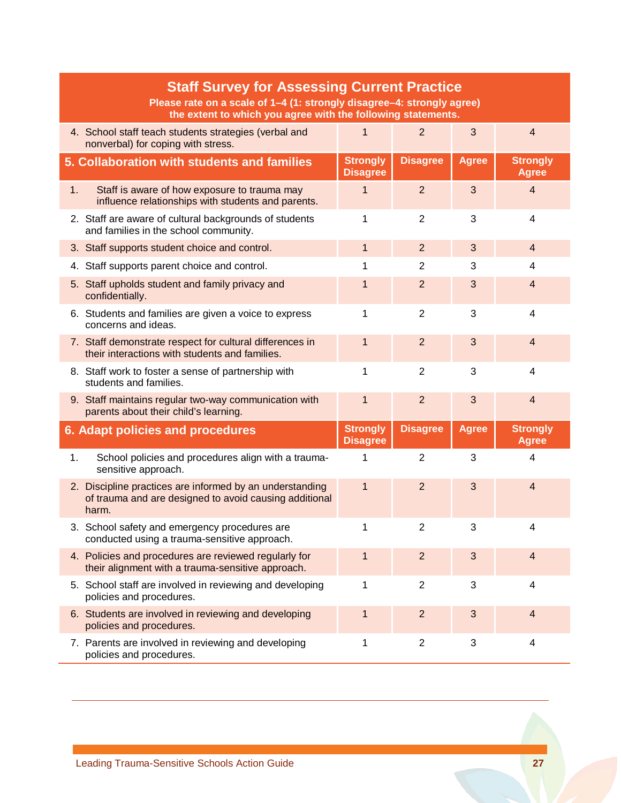<span id="page-29-1"></span><span id="page-29-0"></span>

|    | <b>Staff Survey for Assessing Current Practice</b><br>Please rate on a scale of 1-4 (1: strongly disagree-4: strongly agree)<br>the extent to which you agree with the following statements. |                                    |                 |              |                                 |  |  |  |  |
|----|----------------------------------------------------------------------------------------------------------------------------------------------------------------------------------------------|------------------------------------|-----------------|--------------|---------------------------------|--|--|--|--|
|    | 4. School staff teach students strategies (verbal and<br>nonverbal) for coping with stress.                                                                                                  | $\mathbf 1$                        | $\overline{2}$  | 3            | $\overline{4}$                  |  |  |  |  |
|    | 5. Collaboration with students and families                                                                                                                                                  | <b>Strongly</b><br><b>Disagree</b> | <b>Disagree</b> | <b>Agree</b> | <b>Strongly</b><br><b>Agree</b> |  |  |  |  |
| 1. | Staff is aware of how exposure to trauma may<br>influence relationships with students and parents.                                                                                           | 1                                  | $\overline{2}$  | 3            | $\overline{4}$                  |  |  |  |  |
|    | 2. Staff are aware of cultural backgrounds of students<br>and families in the school community.                                                                                              | 1                                  | 2               | 3            | $\overline{4}$                  |  |  |  |  |
|    | 3. Staff supports student choice and control.                                                                                                                                                | $\mathbf 1$                        | $\overline{2}$  | 3            | $\overline{4}$                  |  |  |  |  |
|    | 4. Staff supports parent choice and control.                                                                                                                                                 | 1                                  | $\overline{2}$  | 3            | 4                               |  |  |  |  |
|    | 5. Staff upholds student and family privacy and<br>confidentially.                                                                                                                           | $\mathbf 1$                        | $\overline{2}$  | 3            | $\overline{4}$                  |  |  |  |  |
|    | 6. Students and families are given a voice to express<br>concerns and ideas.                                                                                                                 | 1                                  | $\overline{2}$  | 3            | 4                               |  |  |  |  |
|    | 7. Staff demonstrate respect for cultural differences in<br>their interactions with students and families.                                                                                   | 1                                  | $\overline{2}$  | 3            | $\overline{4}$                  |  |  |  |  |
|    | 8. Staff work to foster a sense of partnership with<br>students and families.                                                                                                                | 1                                  | $\overline{2}$  | 3            | 4                               |  |  |  |  |
|    | 9. Staff maintains regular two-way communication with<br>parents about their child's learning.                                                                                               | $\mathbf{1}$                       | $\overline{2}$  | 3            | $\overline{4}$                  |  |  |  |  |
|    | <b>6. Adapt policies and procedures</b>                                                                                                                                                      | <b>Strongly</b><br><b>Disagree</b> | <b>Disagree</b> | <b>Agree</b> | <b>Strongly</b><br><b>Agree</b> |  |  |  |  |
| 1. | School policies and procedures align with a trauma-<br>sensitive approach.                                                                                                                   | 1                                  | $\overline{2}$  | 3            | $\overline{4}$                  |  |  |  |  |
|    | 2. Discipline practices are informed by an understanding<br>of trauma and are designed to avoid causing additional<br>harm.                                                                  | $\mathbf{1}$                       | $\overline{2}$  | 3            | $\overline{4}$                  |  |  |  |  |
|    | 3. School safety and emergency procedures are<br>conducted using a trauma-sensitive approach.                                                                                                | 1                                  | $\overline{2}$  | 3            | Δ                               |  |  |  |  |
|    | 4. Policies and procedures are reviewed regularly for<br>their alignment with a trauma-sensitive approach.                                                                                   | $\mathbf 1$                        | $\overline{2}$  | 3            | $\overline{4}$                  |  |  |  |  |
|    | 5. School staff are involved in reviewing and developing<br>policies and procedures.                                                                                                         | 1                                  | $\overline{2}$  | 3            | 4                               |  |  |  |  |
|    | 6. Students are involved in reviewing and developing<br>policies and procedures.                                                                                                             | $\mathbf 1$                        | $\overline{2}$  | 3            | $\overline{4}$                  |  |  |  |  |
|    | 7. Parents are involved in reviewing and developing<br>policies and procedures.                                                                                                              | 1                                  | $\overline{2}$  | 3            | 4                               |  |  |  |  |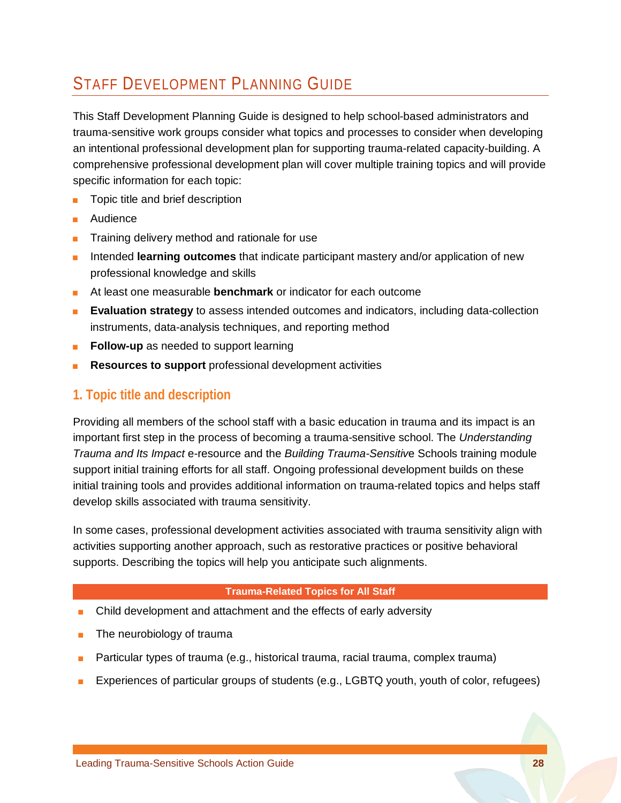## STAFF DEVELOPMENT PLANNING GUIDE

This Staff Development Planning Guide is designed to help school-based administrators and trauma-sensitive work groups consider what topics and processes to consider when developing an intentional professional development plan for supporting trauma-related capacity-building. A comprehensive professional development plan will cover multiple training topics and will provide specific information for each topic:

- Topic title and brief description
- **Audience**
- Training delivery method and rationale for use
- Intended **learning outcomes** that indicate participant mastery and/or application of new professional knowledge and skills
- At least one measurable **benchmark** or indicator for each outcome
- **Evaluation strategy** to assess intended outcomes and indicators, including data-collection instruments, data-analysis techniques, and reporting method
- **Follow-up** as needed to support learning
- **Resources to support** professional development activities

### **1. Topic title and description**

Providing all members of the school staff with a basic education in trauma and its impact is an important first step in the process of becoming a trauma-sensitive school. The *Understanding Trauma and Its Impact* e-resource and the *Building Trauma-Sensitiv*e Schools training module support initial training efforts for all staff. Ongoing professional development builds on these initial training tools and provides additional information on trauma-related topics and helps staff develop skills associated with trauma sensitivity.

In some cases, professional development activities associated with trauma sensitivity align with activities supporting another approach, such as restorative practices or positive behavioral supports. Describing the topics will help you anticipate such alignments.

#### **Trauma-Related Topics for All Staff**

- Child development and attachment and the effects of early adversity
- The neurobiology of trauma
- Particular types of trauma (e.g., historical trauma, racial trauma, complex trauma)
- Experiences of particular groups of students (e.g., LGBTQ youth, youth of color, refugees)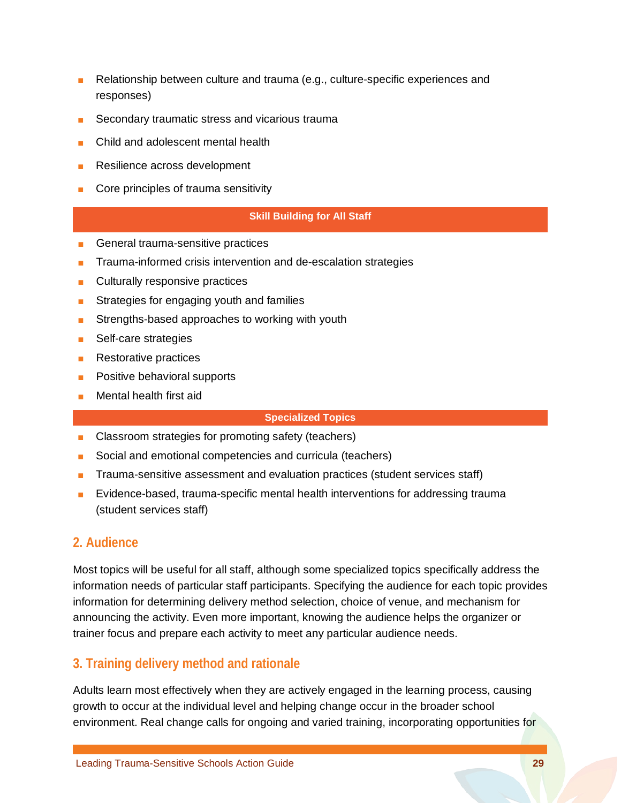- Relationship between culture and trauma (e.g., culture-specific experiences and responses)
- Secondary traumatic stress and vicarious trauma
- Child and adolescent mental health
- Resilience across development
- Core principles of trauma sensitivity

#### **Skill Building for All Staff**

- General trauma-sensitive practices
- Trauma-informed crisis intervention and de-escalation strategies
- Culturally responsive practices
- Strategies for engaging youth and families
- Strengths-based approaches to working with youth
- Self-care strategies
- Restorative practices
- Positive behavioral supports
- Mental health first aid

#### **Specialized Topics**

- Classroom strategies for promoting safety (teachers)
- Social and emotional competencies and curricula (teachers)
- Trauma-sensitive assessment and evaluation practices (student services staff)
- Evidence-based, trauma-specific mental health interventions for addressing trauma (student services staff)

### **2. Audience**

Most topics will be useful for all staff, although some specialized topics specifically address the information needs of particular staff participants. Specifying the audience for each topic provides information for determining delivery method selection, choice of venue, and mechanism for announcing the activity. Even more important, knowing the audience helps the organizer or trainer focus and prepare each activity to meet any particular audience needs.

## **3. Training delivery method and rationale**

Adults learn most effectively when they are actively engaged in the learning process, causing growth to occur at the individual level and helping change occur in the broader school environment. Real change calls for ongoing and varied training, incorporating opportunities for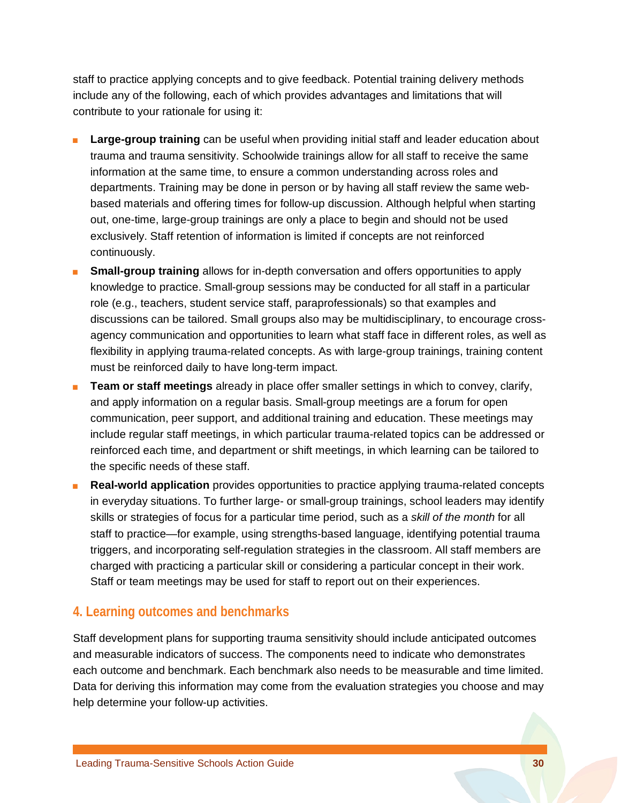staff to practice applying concepts and to give feedback. Potential training delivery methods include any of the following, each of which provides advantages and limitations that will contribute to your rationale for using it:

- **Large-group training** can be useful when providing initial staff and leader education about trauma and trauma sensitivity. Schoolwide trainings allow for all staff to receive the same information at the same time, to ensure a common understanding across roles and departments. Training may be done in person or by having all staff review the same webbased materials and offering times for follow-up discussion. Although helpful when starting out, one-time, large-group trainings are only a place to begin and should not be used exclusively. Staff retention of information is limited if concepts are not reinforced continuously.
- **Biggs 1 Small-group training** allows for in-depth conversation and offers opportunities to apply knowledge to practice. Small-group sessions may be conducted for all staff in a particular role (e.g., teachers, student service staff, paraprofessionals) so that examples and discussions can be tailored. Small groups also may be multidisciplinary, to encourage crossagency communication and opportunities to learn what staff face in different roles, as well as flexibility in applying trauma-related concepts. As with large-group trainings, training content must be reinforced daily to have long-term impact.
- **Team or staff meetings** already in place offer smaller settings in which to convey, clarify, and apply information on a regular basis. Small-group meetings are a forum for open communication, peer support, and additional training and education. These meetings may include regular staff meetings, in which particular trauma-related topics can be addressed or reinforced each time, and department or shift meetings, in which learning can be tailored to the specific needs of these staff.
- **Real-world application** provides opportunities to practice applying trauma-related concepts in everyday situations. To further large- or small-group trainings, school leaders may identify skills or strategies of focus for a particular time period, such as a *skill of the month* for all staff to practice—for example, using strengths-based language, identifying potential trauma triggers, and incorporating self-regulation strategies in the classroom. All staff members are charged with practicing a particular skill or considering a particular concept in their work. Staff or team meetings may be used for staff to report out on their experiences.

### **4. Learning outcomes and benchmarks**

Staff development plans for supporting trauma sensitivity should include anticipated outcomes and measurable indicators of success. The components need to indicate who demonstrates each outcome and benchmark. Each benchmark also needs to be measurable and time limited. Data for deriving this information may come from the evaluation strategies you choose and may help determine your follow-up activities.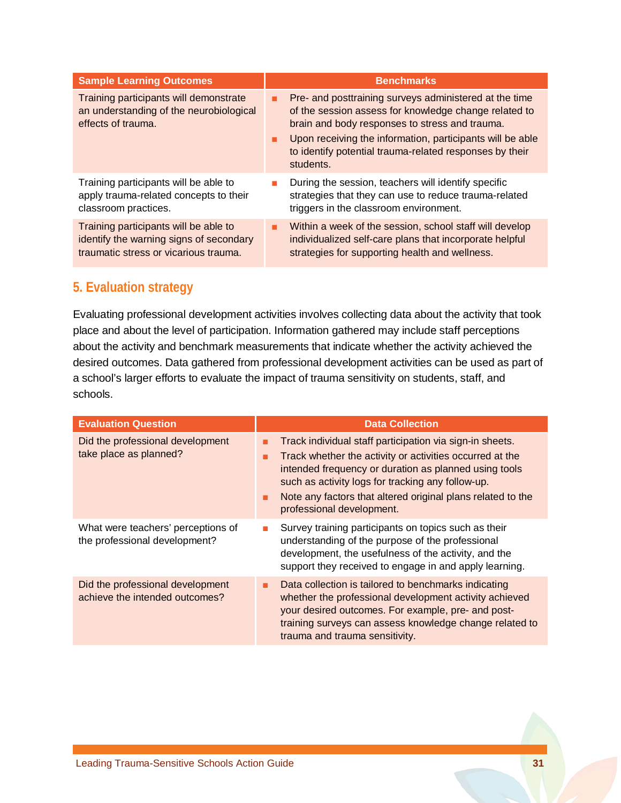| <b>Sample Learning Outcomes</b>                                                                                           |    | <b>Benchmarks</b>                                                                                                                                                    |
|---------------------------------------------------------------------------------------------------------------------------|----|----------------------------------------------------------------------------------------------------------------------------------------------------------------------|
| Training participants will demonstrate<br>an understanding of the neurobiological<br>effects of trauma.                   | ٠  | Pre- and posttraining surveys administered at the time<br>of the session assess for knowledge change related to<br>brain and body responses to stress and trauma.    |
|                                                                                                                           | ٠  | Upon receiving the information, participants will be able<br>to identify potential trauma-related responses by their<br>students.                                    |
| Training participants will be able to<br>apply trauma-related concepts to their<br>classroom practices.                   | m. | During the session, teachers will identify specific<br>strategies that they can use to reduce trauma-related<br>triggers in the classroom environment.               |
| Training participants will be able to<br>identify the warning signs of secondary<br>traumatic stress or vicarious trauma. | ٠  | Within a week of the session, school staff will develop<br>individualized self-care plans that incorporate helpful<br>strategies for supporting health and wellness. |

### **5. Evaluation strategy**

Evaluating professional development activities involves collecting data about the activity that took place and about the level of participation. Information gathered may include staff perceptions about the activity and benchmark measurements that indicate whether the activity achieved the desired outcomes. Data gathered from professional development activities can be used as part of a school's larger efforts to evaluate the impact of trauma sensitivity on students, staff, and schools.

| <b>Evaluation Question</b>                                          | <b>Data Collection</b>                                                                                                                                                                                                                                                                                                                   |
|---------------------------------------------------------------------|------------------------------------------------------------------------------------------------------------------------------------------------------------------------------------------------------------------------------------------------------------------------------------------------------------------------------------------|
| Did the professional development<br>take place as planned?          | Track individual staff participation via sign-in sheets.<br>Track whether the activity or activities occurred at the<br>п<br>intended frequency or duration as planned using tools<br>such as activity logs for tracking any follow-up.<br>Note any factors that altered original plans related to the<br>٠<br>professional development. |
| What were teachers' perceptions of<br>the professional development? | Survey training participants on topics such as their<br><b>The State</b><br>understanding of the purpose of the professional<br>development, the usefulness of the activity, and the<br>support they received to engage in and apply learning.                                                                                           |
| Did the professional development<br>achieve the intended outcomes?  | Data collection is tailored to benchmarks indicating<br>ш<br>whether the professional development activity achieved<br>your desired outcomes. For example, pre- and post-<br>training surveys can assess knowledge change related to<br>trauma and trauma sensitivity.                                                                   |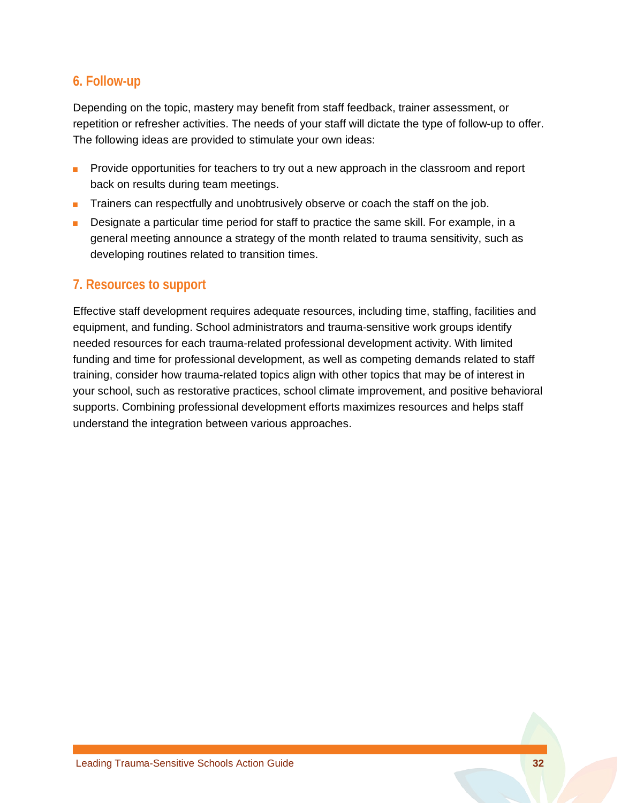### **6. Follow-up**

Depending on the topic, mastery may benefit from staff feedback, trainer assessment, or repetition or refresher activities. The needs of your staff will dictate the type of follow-up to offer. The following ideas are provided to stimulate your own ideas:

- Provide opportunities for teachers to try out a new approach in the classroom and report back on results during team meetings.
- Trainers can respectfully and unobtrusively observe or coach the staff on the job.
- Designate a particular time period for staff to practice the same skill. For example, in a general meeting announce a strategy of the month related to trauma sensitivity, such as developing routines related to transition times.

### **7. Resources to support**

Effective staff development requires adequate resources, including time, staffing, facilities and equipment, and funding. School administrators and trauma-sensitive work groups identify needed resources for each trauma-related professional development activity. With limited funding and time for professional development, as well as competing demands related to staff training, consider how trauma-related topics align with other topics that may be of interest in your school, such as restorative practices, school climate improvement, and positive behavioral supports. Combining professional development efforts maximizes resources and helps staff understand the integration between various approaches.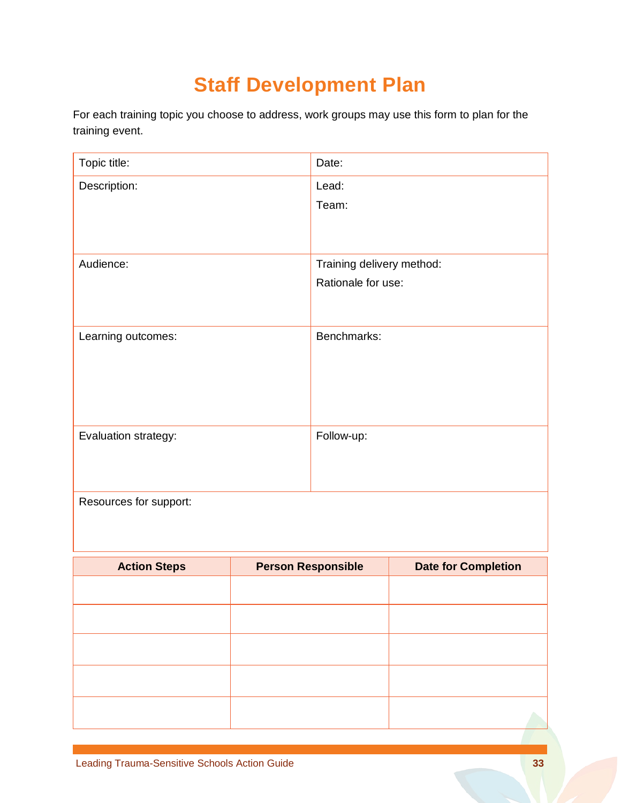# **Staff Development Plan**

For each training topic you choose to address, work groups may use this form to plan for the training event.

| Topic title:           | Date:                     |
|------------------------|---------------------------|
| Description:           | Lead:                     |
|                        | Team:                     |
|                        |                           |
|                        |                           |
| Audience:              | Training delivery method: |
|                        | Rationale for use:        |
|                        |                           |
|                        |                           |
| Learning outcomes:     | Benchmarks:               |
|                        |                           |
|                        |                           |
|                        |                           |
|                        |                           |
| Evaluation strategy:   | Follow-up:                |
|                        |                           |
|                        |                           |
| Resources for support: |                           |
|                        |                           |
|                        |                           |
|                        | н.                        |

| <b>Action Steps</b> | <b>Person Responsible</b> | <b>Date for Completion</b> |
|---------------------|---------------------------|----------------------------|
|                     |                           |                            |
|                     |                           |                            |
|                     |                           |                            |
|                     |                           |                            |
|                     |                           |                            |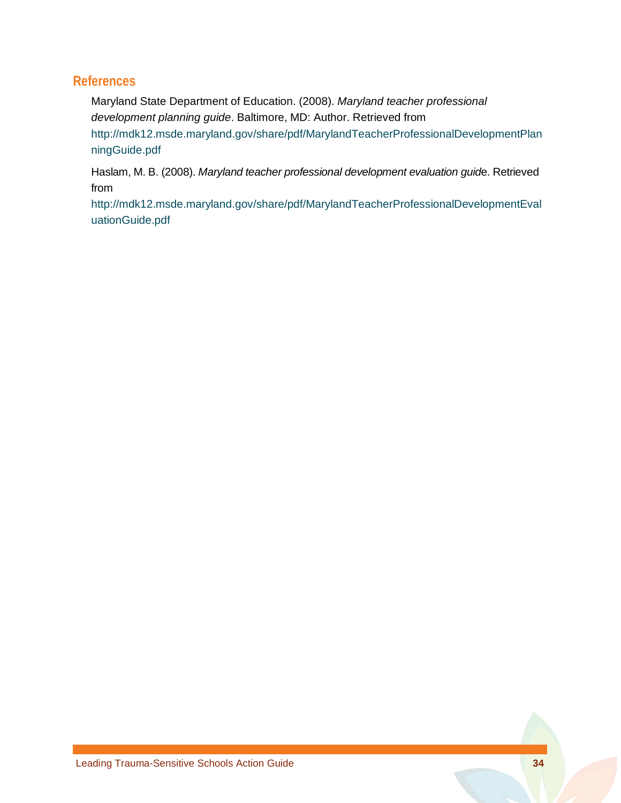### **References**

Maryland State Department of Education. (2008). *Maryland teacher professional development planning guide*. Baltimore, MD: Author. Retrieved from [http://mdk12.msde.maryland.gov/share/pdf/MarylandTeacherProfessionalDevelopmentPlan](http://mdk12.msde.maryland.gov/share/pdf/MarylandTeacherProfessionalDevelopmentPlanningGuide.pdf) [ningGuide.pdf](http://mdk12.msde.maryland.gov/share/pdf/MarylandTeacherProfessionalDevelopmentPlanningGuide.pdf)

Haslam, M. B. (2008). *Maryland teacher professional development evaluation guid*e. Retrieved from

[http://mdk12.msde.maryland.gov/share/pdf/MarylandTeacherProfessionalDevelopmentEval](http://mdk12.msde.maryland.gov/share/pdf/MarylandTeacherProfessionalDevelopmentEvaluationGuide.pdf) [uationGuide.pdf](http://mdk12.msde.maryland.gov/share/pdf/MarylandTeacherProfessionalDevelopmentEvaluationGuide.pdf)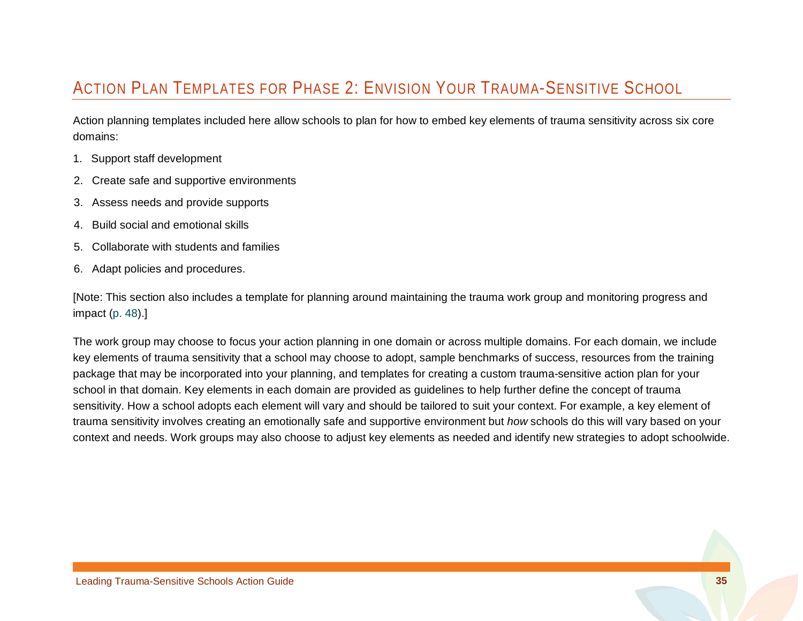## ACTION PLAN TEMPLATES FOR PHASE 2: ENVISION YOUR TRAUMA-SENSITIVE SCHOOL

Action planning templates included here allow schools to plan for how to embed key elements of trauma sensitivity across six core domains:

- 1. Support staff development
- 2. Create safe and supportive environments
- 3. Assess needs and provide supports
- 4. Build social and emotional skills
- 5. Collaborate with students and families
- <span id="page-37-0"></span>6. Adapt policies and procedures.

[Note: This section also includes a template for planning around maintaining the trauma work group and monitoring progress and impact [\(p. 48\)](#page-50-1).]

The work group may choose to focus your action planning in one domain or across multiple domains. For each domain, we include key elements of trauma sensitivity that a school may choose to adopt, sample benchmarks of success, resources from the training package that may be incorporated into your planning, and templates for creating a custom trauma-sensitive action plan for your school in that domain. Key elements in each domain are provided as guidelines to help further define the concept of trauma sensitivity. How a school adopts each element will vary and should be tailored to suit your context. For example, a key element of trauma sensitivity involves creating an emotionally safe and supportive environment but *how* schools do this will vary based on your context and needs. Work groups may also choose to adjust key elements as needed and identify new strategies to adopt schoolwide.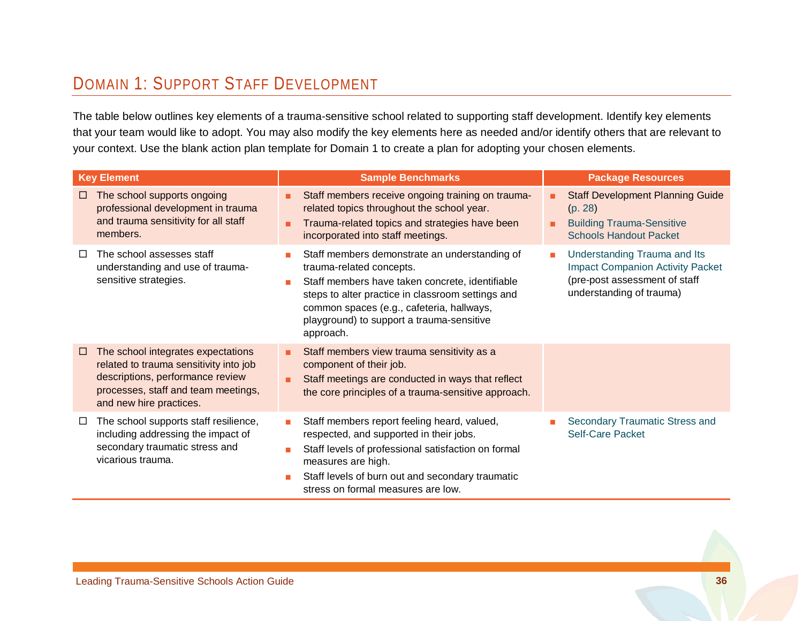## DOMAIN 1: SUPPORT STAFF DEVELOPMENT

The table below outlines key elements of a trauma-sensitive school related to supporting staff development. Identify key elements that your team would like to adopt. You may also modify the key elements here as needed and/or identify others that are relevant to your context. Use the blank action plan template for Domain 1 to create a plan for adopting your chosen elements.

| <b>Key Element</b> |                                                                                                                                                                                    |                     | <b>Sample Benchmarks</b>                                                                                                                                                                                                                                                                 |   | <b>Package Resources</b>                                                                                                             |  |  |
|--------------------|------------------------------------------------------------------------------------------------------------------------------------------------------------------------------------|---------------------|------------------------------------------------------------------------------------------------------------------------------------------------------------------------------------------------------------------------------------------------------------------------------------------|---|--------------------------------------------------------------------------------------------------------------------------------------|--|--|
| $\Box$             | The school supports ongoing<br>professional development in trauma<br>and trauma sensitivity for all staff<br>members.                                                              | ٠<br>٠              | Staff members receive ongoing training on trauma-<br>related topics throughout the school year.<br>Trauma-related topics and strategies have been<br>incorporated into staff meetings.                                                                                                   |   | <b>Staff Development Planning Guide</b><br>(p. 28)<br><b>Building Trauma-Sensitive</b><br><b>Schools Handout Packet</b>              |  |  |
| Ħ                  | The school assesses staff<br>understanding and use of trauma-<br>sensitive strategies.                                                                                             | $\blacksquare$<br>п | Staff members demonstrate an understanding of<br>trauma-related concepts.<br>Staff members have taken concrete, identifiable<br>steps to alter practice in classroom settings and<br>common spaces (e.g., cafeteria, hallways,<br>playground) to support a trauma-sensitive<br>approach. | п | Understanding Trauma and Its<br><b>Impact Companion Activity Packet</b><br>(pre-post assessment of staff<br>understanding of trauma) |  |  |
| □                  | The school integrates expectations<br>related to trauma sensitivity into job<br>descriptions, performance review<br>processes, staff and team meetings,<br>and new hire practices. | ٠<br>٠              | Staff members view trauma sensitivity as a<br>component of their job.<br>Staff meetings are conducted in ways that reflect<br>the core principles of a trauma-sensitive approach.                                                                                                        |   |                                                                                                                                      |  |  |
| □                  | The school supports staff resilience,<br>including addressing the impact of<br>secondary traumatic stress and<br>vicarious trauma.                                                 | п                   | Staff members report feeling heard, valued,<br>respected, and supported in their jobs.<br>Staff levels of professional satisfaction on formal<br>measures are high.<br>Staff levels of burn out and secondary traumatic<br>stress on formal measures are low.                            |   | Secondary Traumatic Stress and<br><b>Self-Care Packet</b>                                                                            |  |  |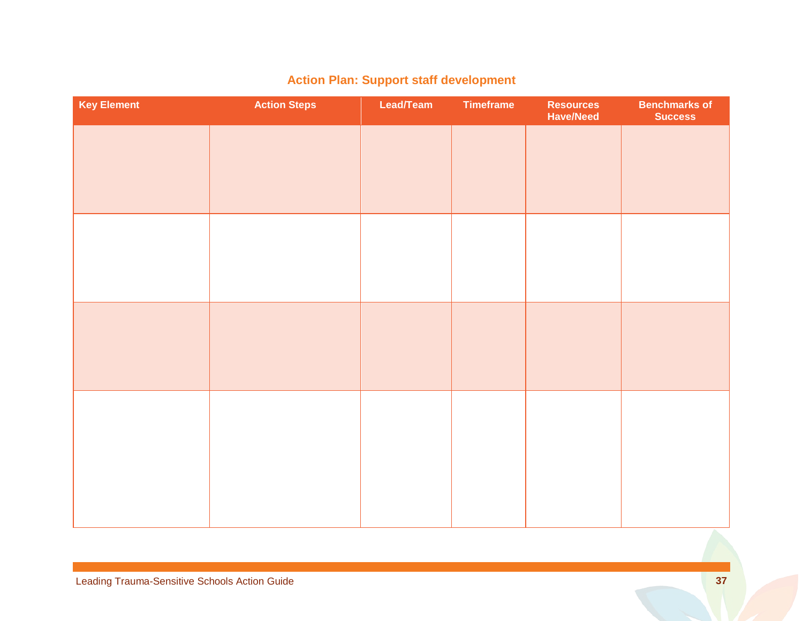| <b>Key Element</b> | <b>Action Steps</b> | Lead/Team | <b>Timeframe</b> | <b>Resources</b><br><b>Have/Need</b> | <b>Benchmarks of</b><br><b>Success</b> |
|--------------------|---------------------|-----------|------------------|--------------------------------------|----------------------------------------|
|                    |                     |           |                  |                                      |                                        |
|                    |                     |           |                  |                                      |                                        |
|                    |                     |           |                  |                                      |                                        |
|                    |                     |           |                  |                                      |                                        |
|                    |                     |           |                  |                                      |                                        |
|                    |                     |           |                  |                                      |                                        |
|                    |                     |           |                  |                                      |                                        |
|                    |                     |           |                  |                                      |                                        |
|                    |                     |           |                  |                                      |                                        |
|                    |                     |           |                  |                                      |                                        |
|                    |                     |           |                  |                                      |                                        |
|                    |                     |           |                  |                                      |                                        |
|                    |                     |           |                  |                                      |                                        |
|                    |                     |           |                  |                                      |                                        |

## **Action Plan: Support staff development**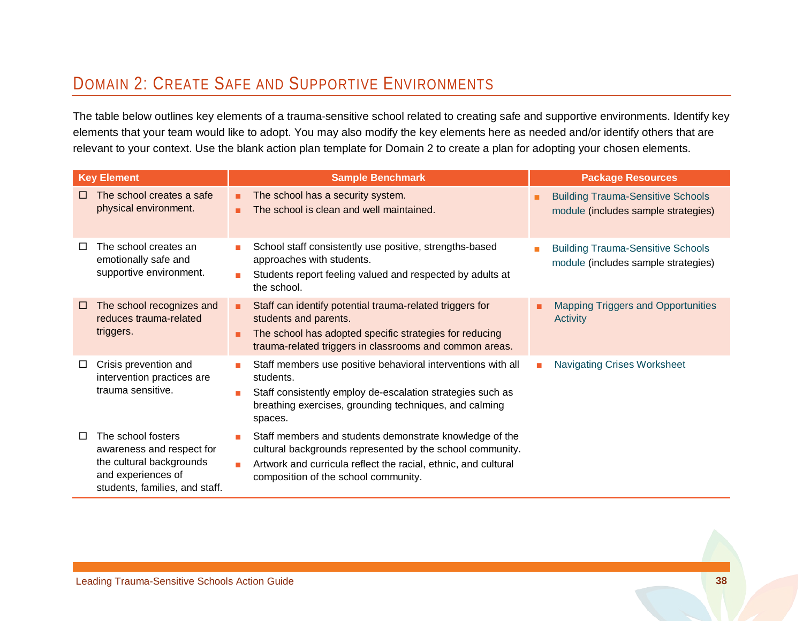## DOMAIN 2: CREATE SAFE AND SUPPORTIVE ENVIRONMENTS

The table below outlines key elements of a trauma-sensitive school related to creating safe and supportive environments. Identify key elements that your team would like to adopt. You may also modify the key elements here as needed and/or identify others that are relevant to your context. Use the blank action plan template for Domain 2 to create a plan for adopting your chosen elements.

|        | <b>Key Element</b>                                                                                                                  |        | <b>Sample Benchmark</b>                                                                                                                                                                                                        | <b>Package Resources</b> |                                                                                 |  |
|--------|-------------------------------------------------------------------------------------------------------------------------------------|--------|--------------------------------------------------------------------------------------------------------------------------------------------------------------------------------------------------------------------------------|--------------------------|---------------------------------------------------------------------------------|--|
| □      | The school creates a safe<br>physical environment.                                                                                  | ٠<br>۰ | The school has a security system.<br>The school is clean and well maintained.                                                                                                                                                  |                          | <b>Building Trauma-Sensitive Schools</b><br>module (includes sample strategies) |  |
| ப      | The school creates an<br>emotionally safe and<br>supportive environment.                                                            | m.     | School staff consistently use positive, strengths-based<br>approaches with students.<br>Students report feeling valued and respected by adults at<br>the school.                                                               |                          | <b>Building Trauma-Sensitive Schools</b><br>module (includes sample strategies) |  |
| $\Box$ | The school recognizes and<br>reduces trauma-related<br>triggers.                                                                    | п      | Staff can identify potential trauma-related triggers for<br>students and parents.<br>The school has adopted specific strategies for reducing<br>trauma-related triggers in classrooms and common areas.                        |                          | <b>Mapping Triggers and Opportunities</b><br>Activity                           |  |
| □      | Crisis prevention and<br>intervention practices are<br>trauma sensitive.                                                            | m.     | Staff members use positive behavioral interventions with all<br>students.<br>Staff consistently employ de-escalation strategies such as<br>breathing exercises, grounding techniques, and calming<br>spaces.                   | <b>The State</b>         | <b>Navigating Crises Worksheet</b>                                              |  |
| □      | The school fosters<br>awareness and respect for<br>the cultural backgrounds<br>and experiences of<br>students, families, and staff. |        | Staff members and students demonstrate knowledge of the<br>cultural backgrounds represented by the school community.<br>Artwork and curricula reflect the racial, ethnic, and cultural<br>composition of the school community. |                          |                                                                                 |  |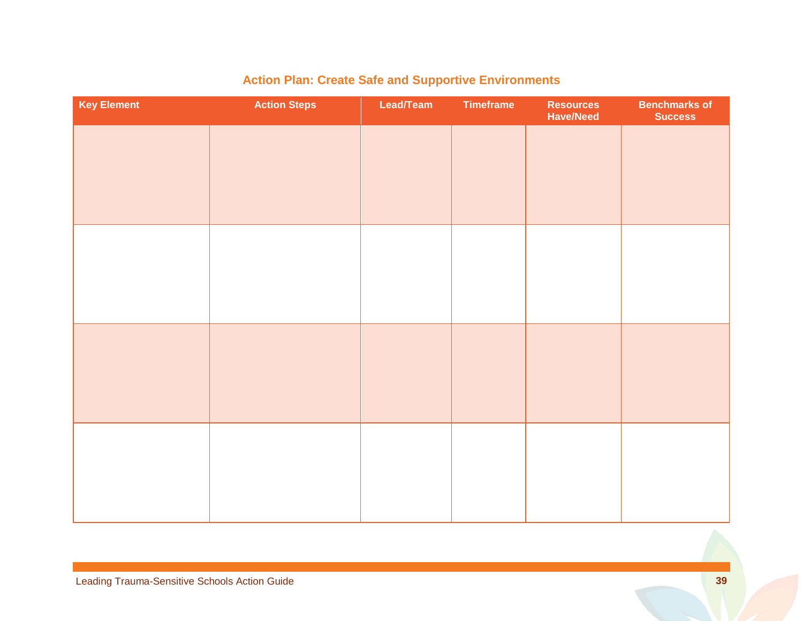| <b>Key Element</b> | <b>Action Steps</b> | Lead/Team | <b>Timeframe</b> | <b>Resources</b><br><b>Have/Need</b> | <b>Benchmarks of</b><br><b>Success</b> |
|--------------------|---------------------|-----------|------------------|--------------------------------------|----------------------------------------|
|                    |                     |           |                  |                                      |                                        |
|                    |                     |           |                  |                                      |                                        |
|                    |                     |           |                  |                                      |                                        |
|                    |                     |           |                  |                                      |                                        |
|                    |                     |           |                  |                                      |                                        |
|                    |                     |           |                  |                                      |                                        |
|                    |                     |           |                  |                                      |                                        |
|                    |                     |           |                  |                                      |                                        |
|                    |                     |           |                  |                                      |                                        |
|                    |                     |           |                  |                                      |                                        |
|                    |                     |           |                  |                                      |                                        |
|                    |                     |           |                  |                                      |                                        |

## **Action Plan: Create Safe and Supportive Environments**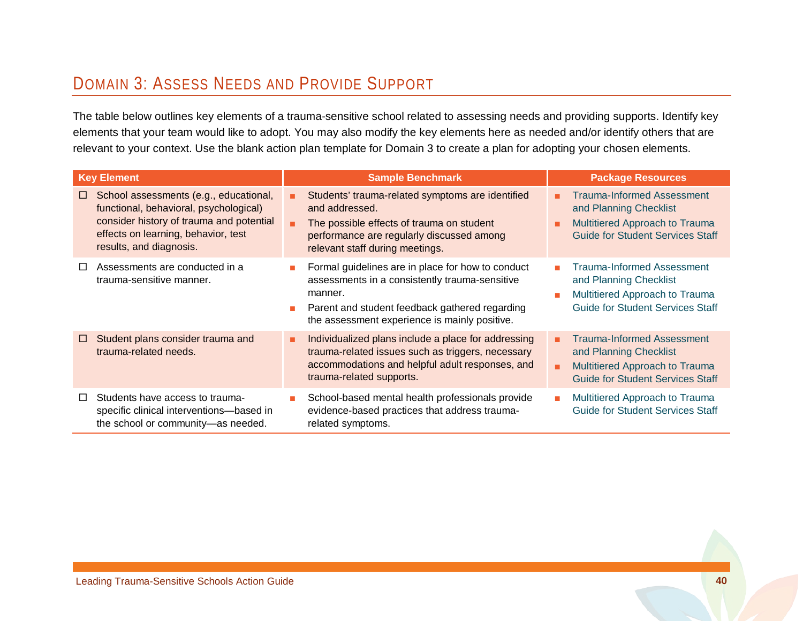## DOMAIN 3: ASSESS NEEDS AND PROVIDE SUPPORT

The table below outlines key elements of a trauma-sensitive school related to assessing needs and providing supports. Identify key elements that your team would like to adopt. You may also modify the key elements here as needed and/or identify others that are relevant to your context. Use the blank action plan template for Domain 3 to create a plan for adopting your chosen elements.

| <b>Key Element</b>                                                                                                                                                                                       | <b>Sample Benchmark</b>                                                                                                                                                                                           | <b>Package Resources</b>                                                                                                                      |  |  |
|----------------------------------------------------------------------------------------------------------------------------------------------------------------------------------------------------------|-------------------------------------------------------------------------------------------------------------------------------------------------------------------------------------------------------------------|-----------------------------------------------------------------------------------------------------------------------------------------------|--|--|
| School assessments (e.g., educational,<br>$\Box$<br>functional, behavioral, psychological)<br>consider history of trauma and potential<br>effects on learning, behavior, test<br>results, and diagnosis. | Students' trauma-related symptoms are identified<br>and addressed.<br>The possible effects of trauma on student<br>performance are regularly discussed among<br>relevant staff during meetings.                   | <b>Trauma-Informed Assessment</b><br>and Planning Checklist<br>Multitiered Approach to Trauma<br>۰<br><b>Guide for Student Services Staff</b> |  |  |
| Assessments are conducted in a<br>$\Box$<br>trauma-sensitive manner.                                                                                                                                     | Formal guidelines are in place for how to conduct<br>assessments in a consistently trauma-sensitive<br>manner.<br>Parent and student feedback gathered regarding<br>the assessment experience is mainly positive. | <b>Trauma-Informed Assessment</b><br>and Planning Checklist<br>Multitiered Approach to Trauma<br><b>Guide for Student Services Staff</b>      |  |  |
| Student plans consider trauma and<br>□<br>trauma-related needs.                                                                                                                                          | Individualized plans include a place for addressing<br>٠<br>trauma-related issues such as triggers, necessary<br>accommodations and helpful adult responses, and<br>trauma-related supports.                      | <b>Trauma-Informed Assessment</b><br>and Planning Checklist<br>Multitiered Approach to Trauma<br>٠<br><b>Guide for Student Services Staff</b> |  |  |
| Students have access to trauma-<br>$\Box$<br>specific clinical interventions-based in<br>the school or community-as needed.                                                                              | School-based mental health professionals provide<br>evidence-based practices that address trauma-<br>related symptoms.                                                                                            | Multitiered Approach to Trauma<br>$\mathcal{L}_{\mathcal{A}}$<br><b>Guide for Student Services Staff</b>                                      |  |  |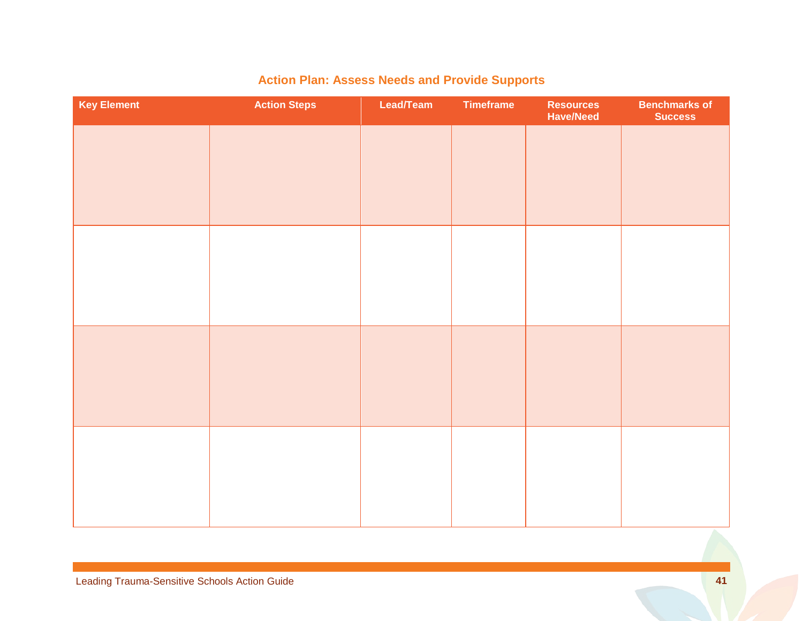| <b>Key Element</b> | <b>Action Steps</b> | Lead/Team | <b>Timeframe</b> | <b>Resources</b><br><b>Have/Need</b> | <b>Benchmarks of</b><br><b>Success</b> |
|--------------------|---------------------|-----------|------------------|--------------------------------------|----------------------------------------|
|                    |                     |           |                  |                                      |                                        |
|                    |                     |           |                  |                                      |                                        |
|                    |                     |           |                  |                                      |                                        |
|                    |                     |           |                  |                                      |                                        |
|                    |                     |           |                  |                                      |                                        |
|                    |                     |           |                  |                                      |                                        |
|                    |                     |           |                  |                                      |                                        |
|                    |                     |           |                  |                                      |                                        |
|                    |                     |           |                  |                                      |                                        |
|                    |                     |           |                  |                                      |                                        |
|                    |                     |           |                  |                                      |                                        |
|                    |                     |           |                  |                                      |                                        |

## **Action Plan: Assess Needs and Provide Supports**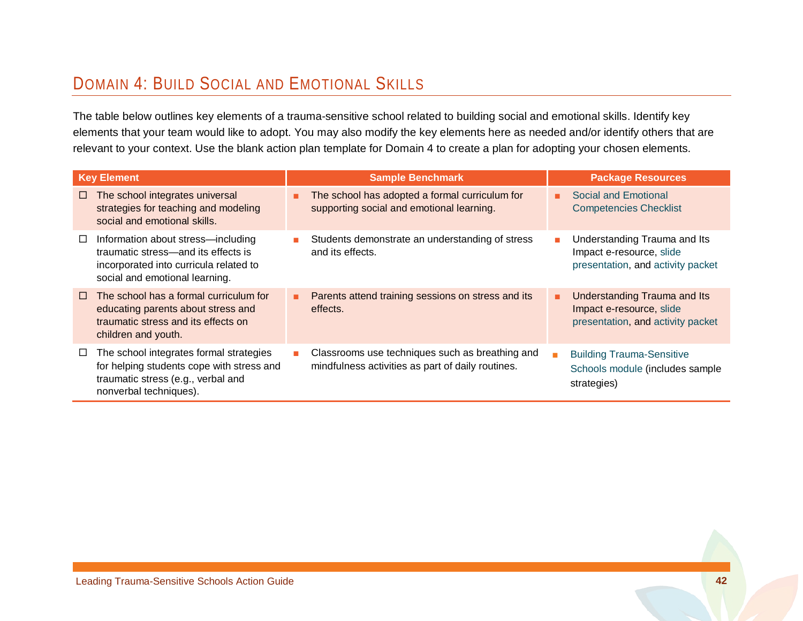## DOMAIN 4: BUILD SOCIAL AND EMOTIONAL SKILLS

The table below outlines key elements of a trauma-sensitive school related to building social and emotional skills. Identify key elements that your team would like to adopt. You may also modify the key elements here as needed and/or identify others that are relevant to your context. Use the blank action plan template for Domain 4 to create a plan for adopting your chosen elements.

| <b>Key Element</b> |                                                                                                                                                       |   | <b>Sample Benchmark</b>                                                                              |    | <b>Package Resources</b>                                                                      |  |  |
|--------------------|-------------------------------------------------------------------------------------------------------------------------------------------------------|---|------------------------------------------------------------------------------------------------------|----|-----------------------------------------------------------------------------------------------|--|--|
| □                  | The school integrates universal<br>strategies for teaching and modeling<br>social and emotional skills.                                               |   | The school has adopted a formal curriculum for<br>supporting social and emotional learning.          | ж. | Social and Emotional<br><b>Competencies Checklist</b>                                         |  |  |
| □                  | Information about stress-including<br>traumatic stress—and its effects is<br>incorporated into curricula related to<br>social and emotional learning. |   | Students demonstrate an understanding of stress<br>and its effects.                                  |    | Understanding Trauma and Its<br>Impact e-resource, slide<br>presentation, and activity packet |  |  |
| $\Box$             | The school has a formal curriculum for<br>educating parents about stress and<br>traumatic stress and its effects on<br>children and youth.            | ٠ | Parents attend training sessions on stress and its<br>effects.                                       | ٠  | Understanding Trauma and Its<br>Impact e-resource, slide<br>presentation, and activity packet |  |  |
| □                  | The school integrates formal strategies<br>for helping students cope with stress and<br>traumatic stress (e.g., verbal and<br>nonverbal techniques).  |   | Classrooms use techniques such as breathing and<br>mindfulness activities as part of daily routines. |    | <b>Building Trauma-Sensitive</b><br>Schools module (includes sample<br>strategies)            |  |  |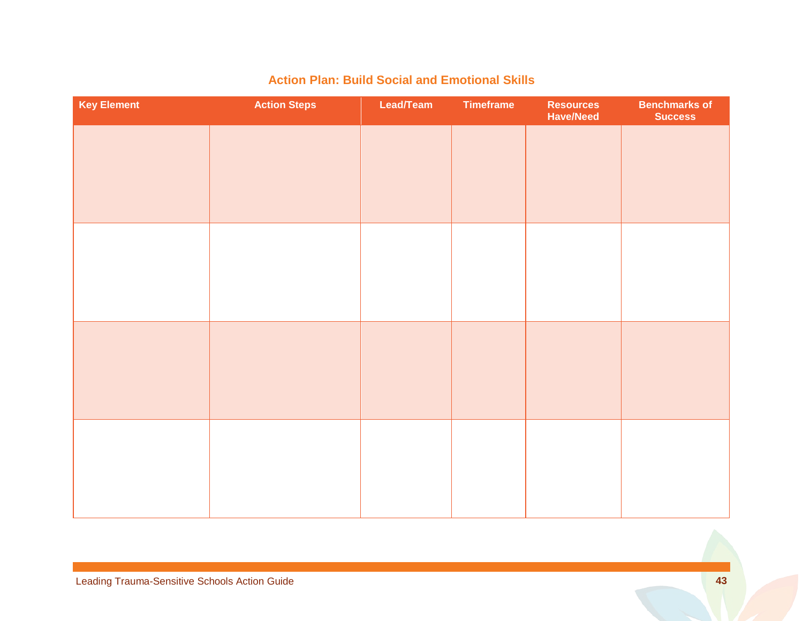| <b>Key Element</b> | <b>Action Steps</b> | Lead/Team | <b>Timeframe</b> | <b>Resources</b><br><b>Have/Need</b> | <b>Benchmarks of</b><br><b>Success</b> |
|--------------------|---------------------|-----------|------------------|--------------------------------------|----------------------------------------|
|                    |                     |           |                  |                                      |                                        |
|                    |                     |           |                  |                                      |                                        |
|                    |                     |           |                  |                                      |                                        |
|                    |                     |           |                  |                                      |                                        |
|                    |                     |           |                  |                                      |                                        |
|                    |                     |           |                  |                                      |                                        |
|                    |                     |           |                  |                                      |                                        |
|                    |                     |           |                  |                                      |                                        |
|                    |                     |           |                  |                                      |                                        |
|                    |                     |           |                  |                                      |                                        |
|                    |                     |           |                  |                                      |                                        |
|                    |                     |           |                  |                                      |                                        |

### **Action Plan: Build Social and Emotional Skills**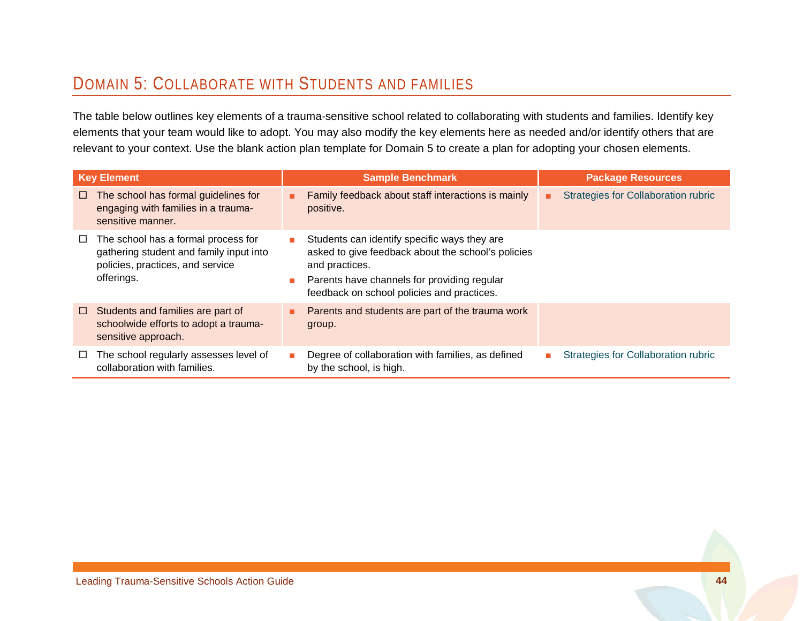## DOMAIN 5: COLLABORATE WITH STUDENTS AND FAMILIES

The table below outlines key elements of a trauma-sensitive school related to collaborating with students and families. Identify key elements that your team would like to adopt. You may also modify the key elements here as needed and/or identify others that are relevant to your context. Use the blank action plan template for Domain 5 to create a plan for adopting your chosen elements.

|        | <b>Key Element</b>                                                                                                               |                              | <b>Sample Benchmark</b>                                                                                                                                                                                           | <b>Package Resources</b> |                                            |
|--------|----------------------------------------------------------------------------------------------------------------------------------|------------------------------|-------------------------------------------------------------------------------------------------------------------------------------------------------------------------------------------------------------------|--------------------------|--------------------------------------------|
| $\Box$ | The school has formal guidelines for<br>engaging with families in a trauma-<br>sensitive manner.                                 |                              | Family feedback about staff interactions is mainly<br>positive.                                                                                                                                                   |                          | <b>Strategies for Collaboration rubric</b> |
| $\Box$ | The school has a formal process for<br>gathering student and family input into<br>policies, practices, and service<br>offerings. | $\mathbf{r}$<br>$\mathbf{r}$ | Students can identify specific ways they are<br>asked to give feedback about the school's policies<br>and practices.<br>Parents have channels for providing regular<br>feedback on school policies and practices. |                          |                                            |
| $\Box$ | Students and families are part of<br>schoolwide efforts to adopt a trauma-<br>sensitive approach.                                |                              | Parents and students are part of the trauma work<br>group.                                                                                                                                                        |                          |                                            |
| □      | The school regularly assesses level of<br>collaboration with families.                                                           |                              | Degree of collaboration with families, as defined<br>by the school, is high.                                                                                                                                      |                          | Strategies for Collaboration rubric        |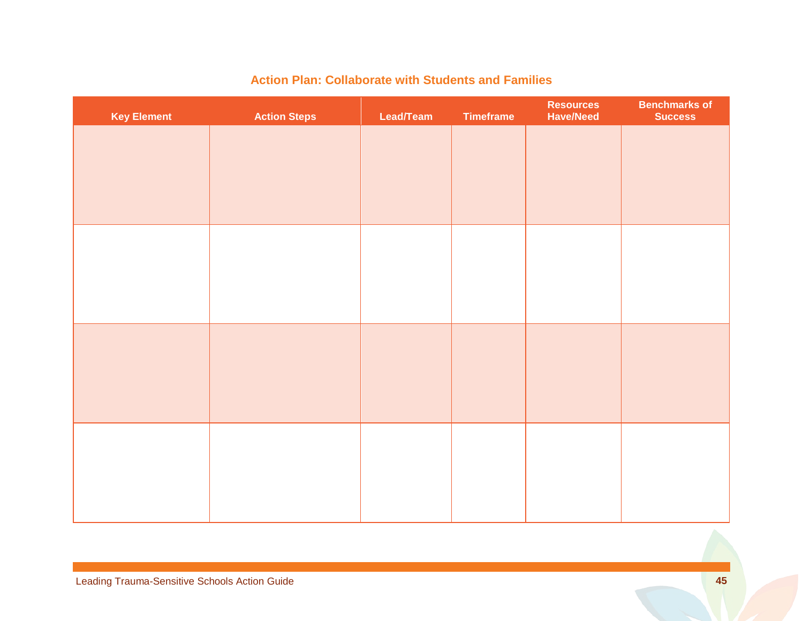| <b>Key Element</b> | <b>Action Steps</b> | Lead/Team | Timeframe | <b>Resources</b><br><b>Have/Need</b> | <b>Benchmarks of</b><br><b>Success</b> |
|--------------------|---------------------|-----------|-----------|--------------------------------------|----------------------------------------|
|                    |                     |           |           |                                      |                                        |
|                    |                     |           |           |                                      |                                        |
|                    |                     |           |           |                                      |                                        |
|                    |                     |           |           |                                      |                                        |
|                    |                     |           |           |                                      |                                        |
|                    |                     |           |           |                                      |                                        |
|                    |                     |           |           |                                      |                                        |
|                    |                     |           |           |                                      |                                        |
|                    |                     |           |           |                                      |                                        |
|                    |                     |           |           |                                      |                                        |
|                    |                     |           |           |                                      |                                        |
|                    |                     |           |           |                                      |                                        |

### **Action Plan: Collaborate with Students and Families**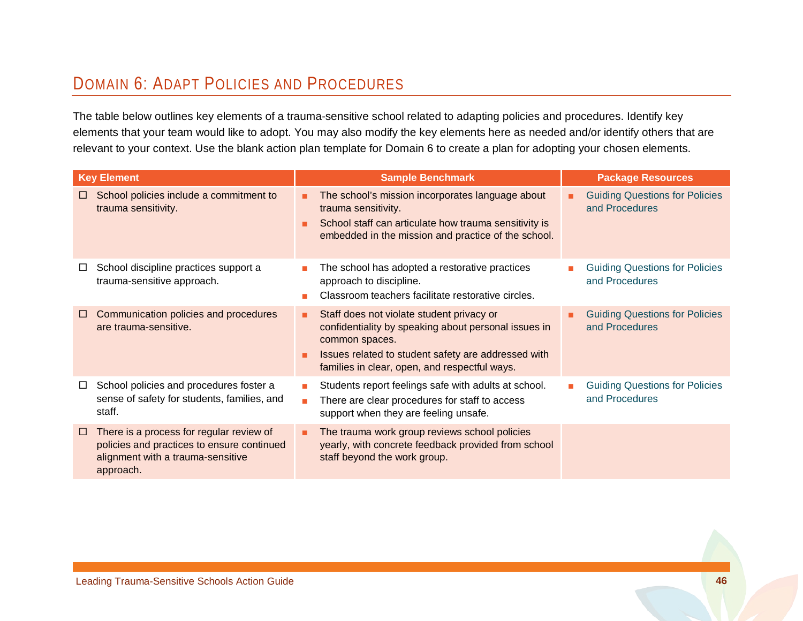## DOMAIN 6: ADAPT POLICIES AND PROCEDURES

The table below outlines key elements of a trauma-sensitive school related to adapting policies and procedures. Identify key elements that your team would like to adopt. You may also modify the key elements here as needed and/or identify others that are relevant to your context. Use the blank action plan template for Domain 6 to create a plan for adopting your chosen elements.

| <b>Key Element</b>                                                                                                                                 | <b>Sample Benchmark</b>                                                                                                                                                                                                          | <b>Package Resources</b>                                     |
|----------------------------------------------------------------------------------------------------------------------------------------------------|----------------------------------------------------------------------------------------------------------------------------------------------------------------------------------------------------------------------------------|--------------------------------------------------------------|
| School policies include a commitment to<br>$\Box$<br>trauma sensitivity.                                                                           | The school's mission incorporates language about<br>٠<br>trauma sensitivity.<br>School staff can articulate how trauma sensitivity is<br>٠<br>embedded in the mission and practice of the school.                                | <b>Guiding Questions for Policies</b><br>and Procedures      |
| School discipline practices support a<br>trauma-sensitive approach.                                                                                | The school has adopted a restorative practices<br>approach to discipline.<br>Classroom teachers facilitate restorative circles.                                                                                                  | <b>Guiding Questions for Policies</b><br>and Procedures      |
| Communication policies and procedures<br>$\Box$<br>are trauma-sensitive.                                                                           | Staff does not violate student privacy or<br>٠<br>confidentiality by speaking about personal issues in<br>common spaces.<br>Issues related to student safety are addressed with<br>families in clear, open, and respectful ways. | <b>Guiding Questions for Policies</b><br>٠<br>and Procedures |
| School policies and procedures foster a<br>⊔<br>sense of safety for students, families, and<br>staff.                                              | Students report feelings safe with adults at school.<br>m.<br>There are clear procedures for staff to access<br>٠<br>support when they are feeling unsafe.                                                                       | <b>Guiding Questions for Policies</b><br>and Procedures      |
| There is a process for regular review of<br>$\Box$<br>policies and practices to ensure continued<br>alignment with a trauma-sensitive<br>approach. | The trauma work group reviews school policies<br>٠<br>yearly, with concrete feedback provided from school<br>staff beyond the work group.                                                                                        |                                                              |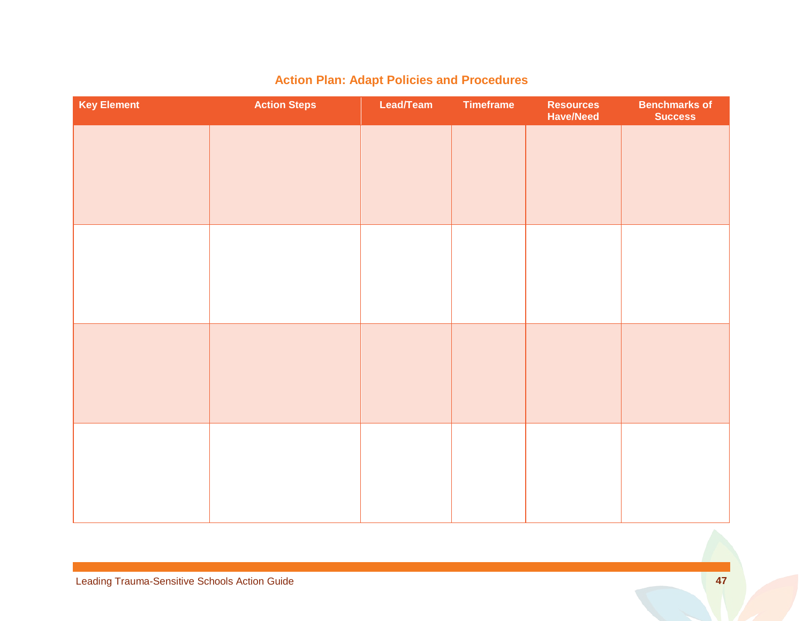| <b>Key Element</b> | <b>Action Steps</b> | Lead/Team | <b>Timeframe</b> | Resources<br><b>Have/Need</b> | <b>Benchmarks of</b><br><b>Success</b> |
|--------------------|---------------------|-----------|------------------|-------------------------------|----------------------------------------|
|                    |                     |           |                  |                               |                                        |
|                    |                     |           |                  |                               |                                        |
|                    |                     |           |                  |                               |                                        |
|                    |                     |           |                  |                               |                                        |
|                    |                     |           |                  |                               |                                        |
|                    |                     |           |                  |                               |                                        |
|                    |                     |           |                  |                               |                                        |
|                    |                     |           |                  |                               |                                        |
|                    |                     |           |                  |                               |                                        |
|                    |                     |           |                  |                               |                                        |
|                    |                     |           |                  |                               |                                        |
|                    |                     |           |                  |                               |                                        |

## **Action Plan: Adapt Policies and Procedures**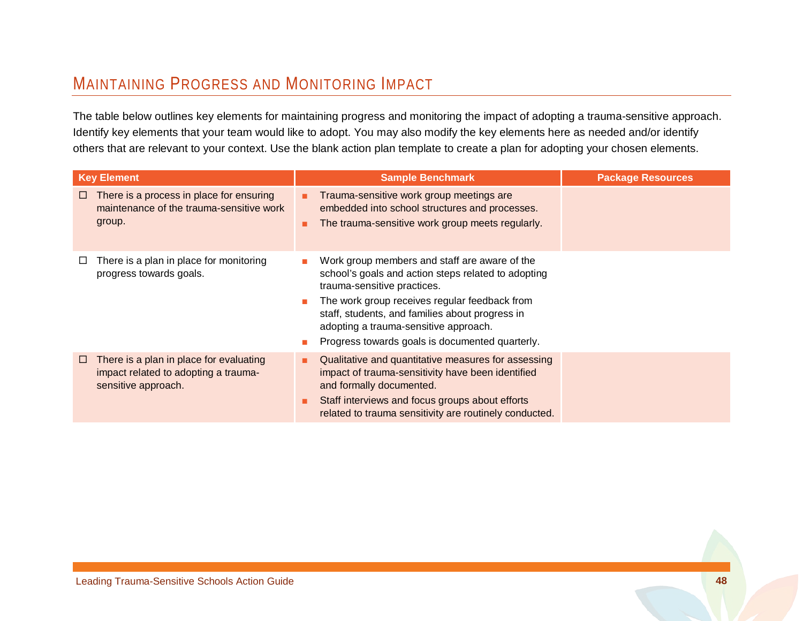## <span id="page-50-1"></span>MAINTAINING PROGRESS AND MONITORING IMPACT

The table below outlines key elements for maintaining progress and monitoring the impact of adopting a trauma-sensitive approach. Identify key elements that your team would like to adopt. You may also modify the key elements here as needed and/or identify others that are relevant to your context. Use the blank action plan template to create a plan for adopting your chosen elements.

<span id="page-50-0"></span>

| <b>Key Element</b>                                                                                          | <b>Sample Benchmark</b>                                                                                                                                                                                                                                                                                                                             | <b>Package Resources</b> |
|-------------------------------------------------------------------------------------------------------------|-----------------------------------------------------------------------------------------------------------------------------------------------------------------------------------------------------------------------------------------------------------------------------------------------------------------------------------------------------|--------------------------|
| There is a process in place for ensuring<br>$\Box$<br>maintenance of the trauma-sensitive work<br>group.    | Trauma-sensitive work group meetings are<br>embedded into school structures and processes.<br>The trauma-sensitive work group meets regularly.<br>٠                                                                                                                                                                                                 |                          |
| There is a plan in place for monitoring<br>progress towards goals.                                          | Work group members and staff are aware of the<br>school's goals and action steps related to adopting<br>trauma-sensitive practices.<br>The work group receives regular feedback from<br>$\mathbf{r}$<br>staff, students, and families about progress in<br>adopting a trauma-sensitive approach.<br>Progress towards goals is documented quarterly. |                          |
| There is a plan in place for evaluating<br>□<br>impact related to adopting a trauma-<br>sensitive approach. | Qualitative and quantitative measures for assessing<br>٠<br>impact of trauma-sensitivity have been identified<br>and formally documented.<br>Staff interviews and focus groups about efforts<br>٠<br>related to trauma sensitivity are routinely conducted.                                                                                         |                          |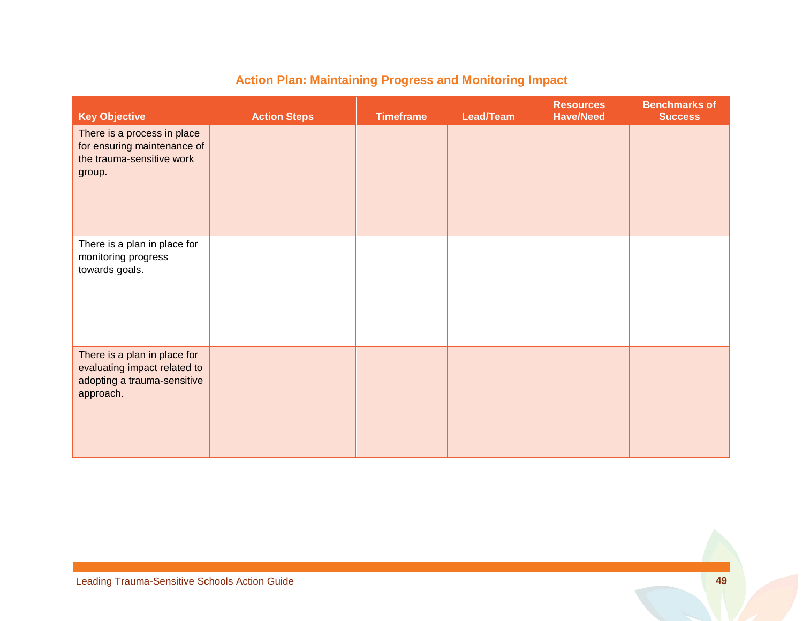| <b>Key Objective</b>                                                                                     | <b>Action Steps</b> | <b>Timeframe</b> | Lead/Team | <b>Resources</b><br><b>Have/Need</b> | <b>Benchmarks of</b><br><b>Success</b> |
|----------------------------------------------------------------------------------------------------------|---------------------|------------------|-----------|--------------------------------------|----------------------------------------|
| There is a process in place<br>for ensuring maintenance of<br>the trauma-sensitive work<br>group.        |                     |                  |           |                                      |                                        |
| There is a plan in place for<br>monitoring progress<br>towards goals.                                    |                     |                  |           |                                      |                                        |
| There is a plan in place for<br>evaluating impact related to<br>adopting a trauma-sensitive<br>approach. |                     |                  |           |                                      |                                        |

## **Action Plan: Maintaining Progress and Monitoring Impact**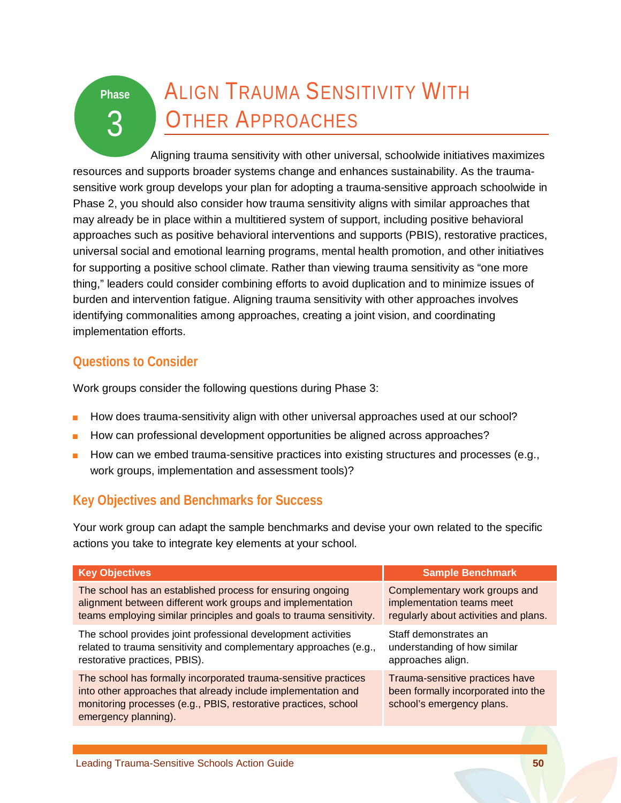# <span id="page-52-0"></span>**Phase** 3

# ALIGN TRAUMA SENSITIVITY WITH OTHER APPROACHES

Aligning trauma sensitivity with other universal, schoolwide initiatives maximizes resources and supports broader systems change and enhances sustainability. As the traumasensitive work group develops your plan for adopting a trauma-sensitive approach schoolwide in Phase 2, you should also consider how trauma sensitivity aligns with similar approaches that may already be in place within a multitiered system of support, including positive behavioral approaches such as positive behavioral interventions and supports (PBIS), restorative practices, universal social and emotional learning programs, mental health promotion, and other initiatives for supporting a positive school climate. Rather than viewing trauma sensitivity as "one more thing," leaders could consider combining efforts to avoid duplication and to minimize issues of burden and intervention fatigue. Aligning trauma sensitivity with other approaches involves identifying commonalities among approaches, creating a joint vision, and coordinating implementation efforts.

## **Questions to Consider**

Work groups consider the following questions during Phase 3:

- How does trauma-sensitivity align with other universal approaches used at our school?
- How can professional development opportunities be aligned across approaches?
- How can we embed trauma-sensitive practices into existing structures and processes (e.g., work groups, implementation and assessment tools)?

## **Key Objectives and Benchmarks for Success**

Your work group can adapt the sample benchmarks and devise your own related to the specific actions you take to integrate key elements at your school.

| <b>Key Objectives</b>                                                                                                                                                                                                       | <b>Sample Benchmark</b>                                                                             |
|-----------------------------------------------------------------------------------------------------------------------------------------------------------------------------------------------------------------------------|-----------------------------------------------------------------------------------------------------|
| The school has an established process for ensuring ongoing<br>alignment between different work groups and implementation<br>teams employing similar principles and goals to trauma sensitivity.                             | Complementary work groups and<br>implementation teams meet<br>regularly about activities and plans. |
| The school provides joint professional development activities<br>related to trauma sensitivity and complementary approaches (e.g.,<br>restorative practices, PBIS).                                                         | Staff demonstrates an<br>understanding of how similar<br>approaches align.                          |
| The school has formally incorporated trauma-sensitive practices<br>into other approaches that already include implementation and<br>monitoring processes (e.g., PBIS, restorative practices, school<br>emergency planning). | Trauma-sensitive practices have<br>been formally incorporated into the<br>school's emergency plans. |
|                                                                                                                                                                                                                             |                                                                                                     |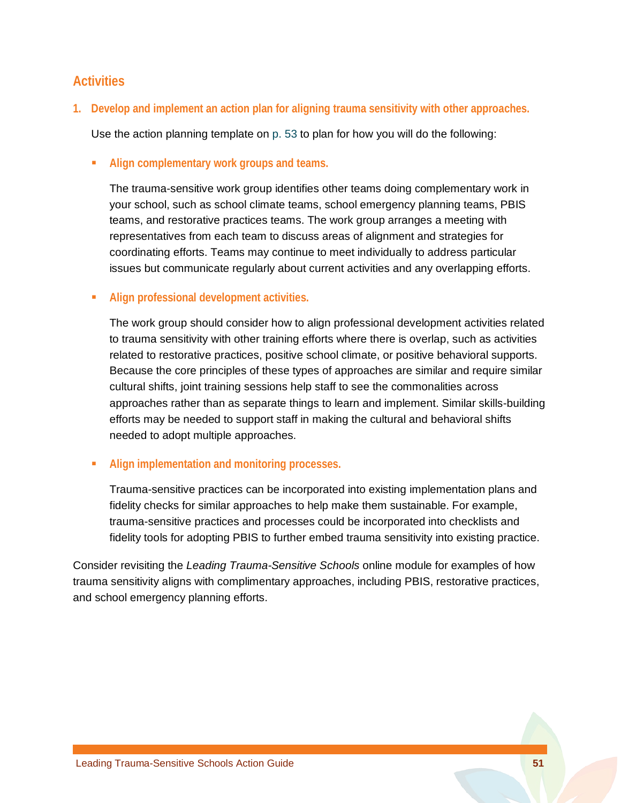### **Activities**

**1. Develop and implement an action plan for aligning trauma sensitivity with other approaches.**

Use the action planning template on [p. 53](#page-55-0) to plan for how you will do the following:

**Align complementary work groups and teams.** 

The trauma-sensitive work group identifies other teams doing complementary work in your school, such as school climate teams, school emergency planning teams, PBIS teams, and restorative practices teams. The work group arranges a meeting with representatives from each team to discuss areas of alignment and strategies for coordinating efforts. Teams may continue to meet individually to address particular issues but communicate regularly about current activities and any overlapping efforts.

**Align professional development activities.** 

The work group should consider how to align professional development activities related to trauma sensitivity with other training efforts where there is overlap, such as activities related to restorative practices, positive school climate, or positive behavioral supports. Because the core principles of these types of approaches are similar and require similar cultural shifts, joint training sessions help staff to see the commonalities across approaches rather than as separate things to learn and implement. Similar skills-building efforts may be needed to support staff in making the cultural and behavioral shifts needed to adopt multiple approaches.

**Align implementation and monitoring processes.** 

Trauma-sensitive practices can be incorporated into existing implementation plans and fidelity checks for similar approaches to help make them sustainable. For example, trauma-sensitive practices and processes could be incorporated into checklists and fidelity tools for adopting PBIS to further embed trauma sensitivity into existing practice.

Consider revisiting the *Leading Trauma-Sensitive Schools* online module for examples of how trauma sensitivity aligns with complimentary approaches, including PBIS, restorative practices, and school emergency planning efforts.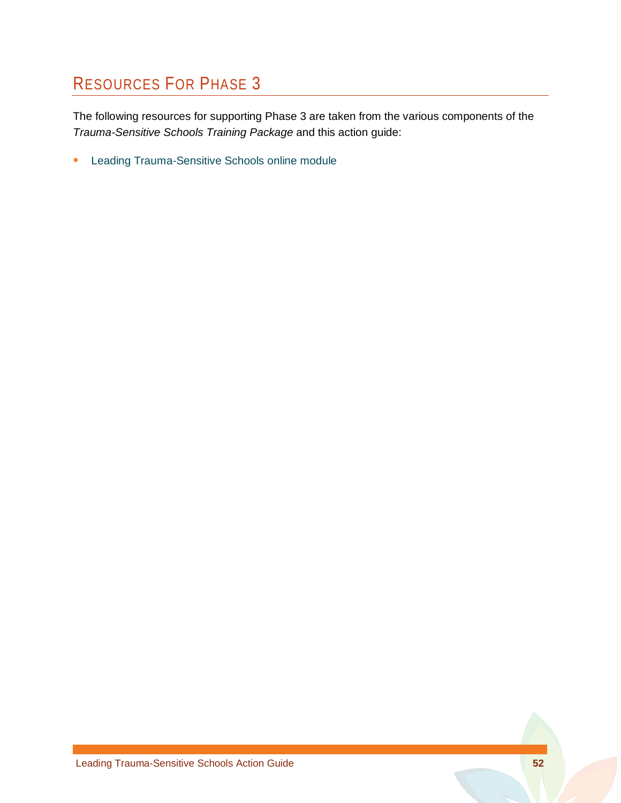## RESOURCES FOR PHASE 3

The following resources for supporting Phase 3 are taken from the various components of the *Trauma-Sensitive Schools Training Package* and this action guide:

**[Leading Trauma-Sensitive Schools online module](http://airhsdlearning.airws.org/leading-trauma-sensitive-schools/story.html)**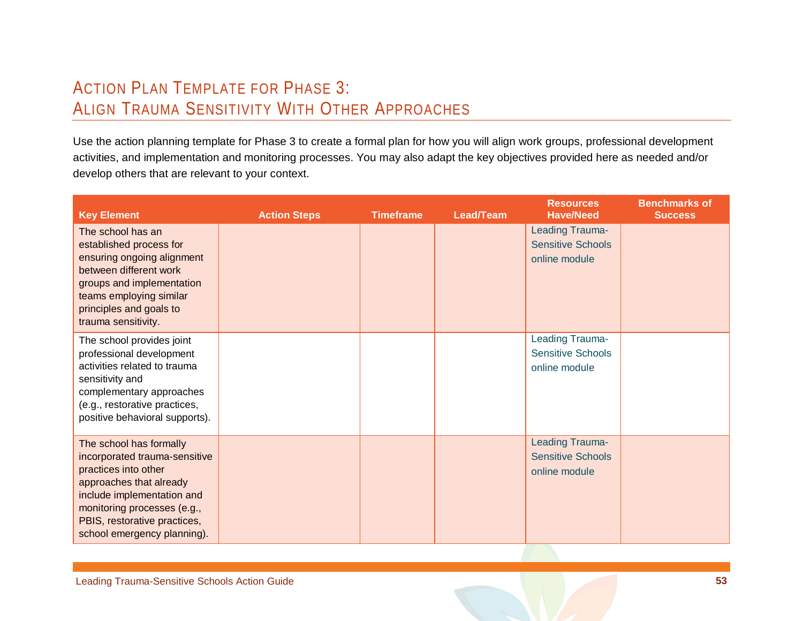## ACTION PLAN TEMPLATE FOR PHASE 3: ALIGN TRAUMA SENSITIVITY WITH OTHER APPROACHES

Use the action planning template for Phase 3 to create a formal plan for how you will align work groups, professional development activities, and implementation and monitoring processes. You may also adapt the key objectives provided here as needed and/or develop others that are relevant to your context.

<span id="page-55-0"></span>

| <b>Key Element</b>                                                                                                                                                                                                                      | <b>Action Steps</b> | <b>Timeframe</b> | Lead/Team | <b>Resources</b><br><b>Have/Need</b>                         | <b>Benchmarks of</b><br><b>Success</b> |
|-----------------------------------------------------------------------------------------------------------------------------------------------------------------------------------------------------------------------------------------|---------------------|------------------|-----------|--------------------------------------------------------------|----------------------------------------|
| The school has an<br>established process for<br>ensuring ongoing alignment<br>between different work<br>groups and implementation<br>teams employing similar<br>principles and goals to<br>trauma sensitivity.                          |                     |                  |           | Leading Trauma-<br><b>Sensitive Schools</b><br>online module |                                        |
| The school provides joint<br>professional development<br>activities related to trauma<br>sensitivity and<br>complementary approaches<br>(e.g., restorative practices,<br>positive behavioral supports).                                 |                     |                  |           | Leading Trauma-<br><b>Sensitive Schools</b><br>online module |                                        |
| The school has formally<br>incorporated trauma-sensitive<br>practices into other<br>approaches that already<br>include implementation and<br>monitoring processes (e.g.,<br>PBIS, restorative practices,<br>school emergency planning). |                     |                  |           | Leading Trauma-<br><b>Sensitive Schools</b><br>online module |                                        |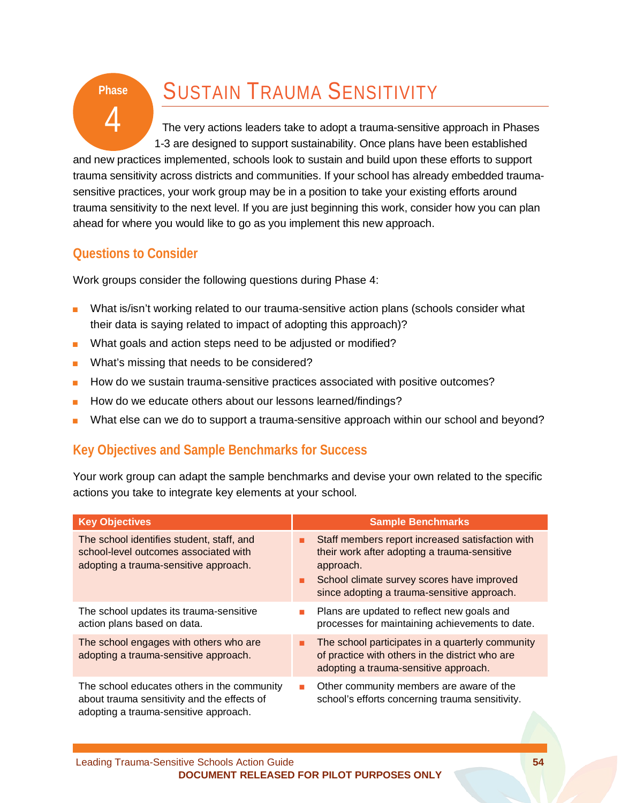# SUSTAIN TRAUMA SENSITIVITY

The very actions leaders take to adopt a trauma-sensitive approach in Phases 1-3 are designed to support sustainability. Once plans have been established

and new practices implemented, schools look to sustain and build upon these efforts to support trauma sensitivity across districts and communities. If your school has already embedded traumasensitive practices, your work group may be in a position to take your existing efforts around trauma sensitivity to the next level. If you are just beginning this work, consider how you can plan ahead for where you would like to go as you implement this new approach.

### **Questions to Consider**

**Phase**

4

Work groups consider the following questions during Phase 4:

- What is/isn't working related to our trauma-sensitive action plans (schools consider what their data is saying related to impact of adopting this approach)?
- What goals and action steps need to be adjusted or modified?
- What's missing that needs to be considered?
- How do we sustain trauma-sensitive practices associated with positive outcomes?
- How do we educate others about our lessons learned/findings?
- What else can we do to support a trauma-sensitive approach within our school and beyond?

## **Key Objectives and Sample Benchmarks for Success**

Your work group can adapt the sample benchmarks and devise your own related to the specific actions you take to integrate key elements at your school.

| <b>Key Objectives</b>                                                                                                               | <b>Sample Benchmarks</b>                                                                                                                                                                                   |
|-------------------------------------------------------------------------------------------------------------------------------------|------------------------------------------------------------------------------------------------------------------------------------------------------------------------------------------------------------|
| The school identifies student, staff, and<br>school-level outcomes associated with<br>adopting a trauma-sensitive approach.         | Staff members report increased satisfaction with<br>their work after adopting a trauma-sensitive<br>approach.<br>School climate survey scores have improved<br>since adopting a trauma-sensitive approach. |
| The school updates its trauma-sensitive<br>action plans based on data.                                                              | Plans are updated to reflect new goals and<br>processes for maintaining achievements to date.                                                                                                              |
| The school engages with others who are<br>adopting a trauma-sensitive approach.                                                     | The school participates in a quarterly community<br>ш<br>of practice with others in the district who are<br>adopting a trauma-sensitive approach.                                                          |
| The school educates others in the community<br>about trauma sensitivity and the effects of<br>adopting a trauma-sensitive approach. | Other community members are aware of the<br>school's efforts concerning trauma sensitivity.                                                                                                                |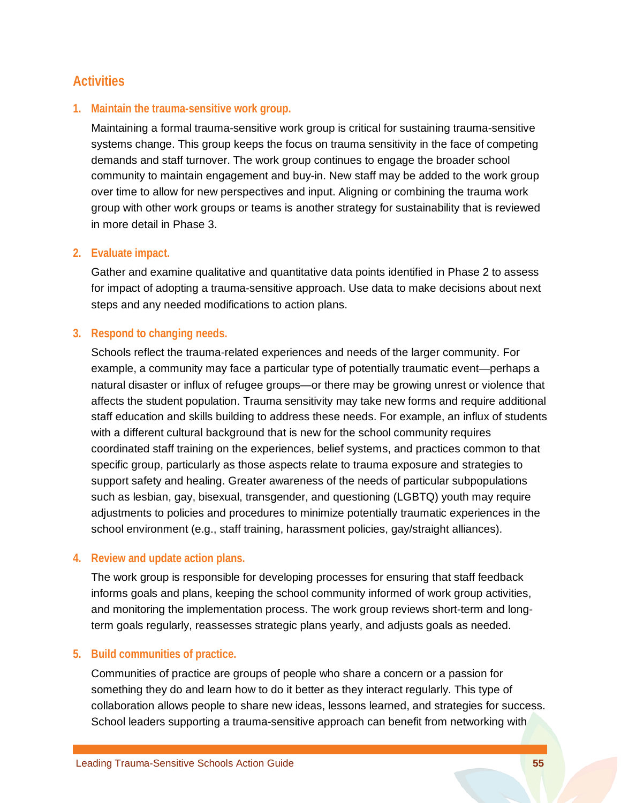### **Activities**

#### **1. Maintain the trauma-sensitive work group.**

Maintaining a formal trauma-sensitive work group is critical for sustaining trauma-sensitive systems change. This group keeps the focus on trauma sensitivity in the face of competing demands and staff turnover. The work group continues to engage the broader school community to maintain engagement and buy-in. New staff may be added to the work group over time to allow for new perspectives and input. Aligning or combining the trauma work group with other work groups or teams is another strategy for sustainability that is reviewed in more detail in Phase 3.

#### **2. Evaluate impact.**

Gather and examine qualitative and quantitative data points identified in Phase 2 to assess for impact of adopting a trauma-sensitive approach. Use data to make decisions about next steps and any needed modifications to action plans.

#### **3. Respond to changing needs.**

Schools reflect the trauma-related experiences and needs of the larger community. For example, a community may face a particular type of potentially traumatic event—perhaps a natural disaster or influx of refugee groups—or there may be growing unrest or violence that affects the student population. Trauma sensitivity may take new forms and require additional staff education and skills building to address these needs. For example, an influx of students with a different cultural background that is new for the school community requires coordinated staff training on the experiences, belief systems, and practices common to that specific group, particularly as those aspects relate to trauma exposure and strategies to support safety and healing. Greater awareness of the needs of particular subpopulations such as lesbian, gay, bisexual, transgender, and questioning (LGBTQ) youth may require adjustments to policies and procedures to minimize potentially traumatic experiences in the school environment (e.g., staff training, harassment policies, gay/straight alliances).

#### **4. Review and update action plans.**

The work group is responsible for developing processes for ensuring that staff feedback informs goals and plans, keeping the school community informed of work group activities, and monitoring the implementation process. The work group reviews short-term and longterm goals regularly, reassesses strategic plans yearly, and adjusts goals as needed.

#### **5. Build communities of practice.**

Communities of practice are groups of people who share a concern or a passion for something they do and learn how to do it better as they interact regularly. This type of collaboration allows people to share new ideas, lessons learned, and strategies for success. School leaders supporting a trauma-sensitive approach can benefit from networking with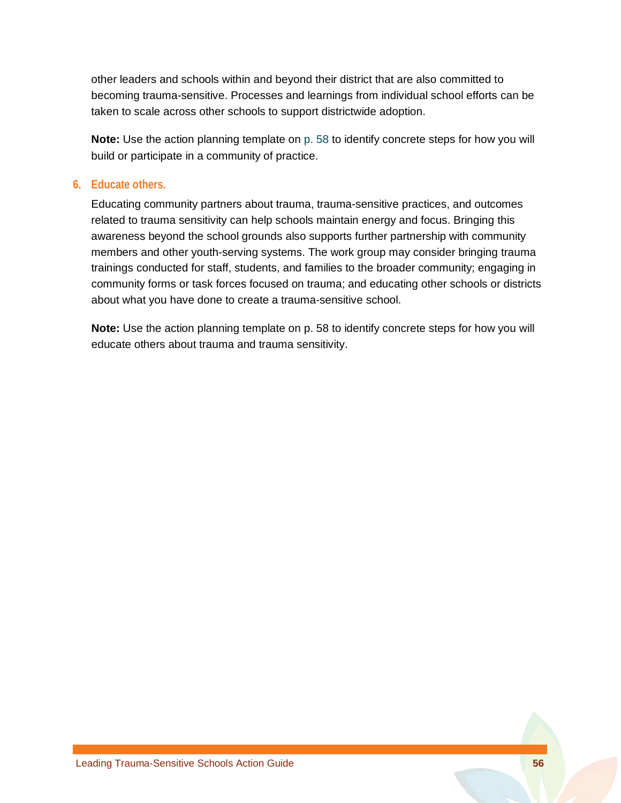other leaders and schools within and beyond their district that are also committed to becoming trauma-sensitive. Processes and learnings from individual school efforts can be taken to scale across other schools to support districtwide adoption.

**Note:** Use the action planning template on [p. 58](#page-60-0) to identify concrete steps for how you will build or participate in a community of practice.

#### **6. Educate others.**

Educating community partners about trauma, trauma-sensitive practices, and outcomes related to trauma sensitivity can help schools maintain energy and focus. Bringing this awareness beyond the school grounds also supports further partnership with community members and other youth-serving systems. The work group may consider bringing trauma trainings conducted for staff, students, and families to the broader community; engaging in community forms or task forces focused on trauma; and educating other schools or districts about what you have done to create a trauma-sensitive school.

**Note:** Use the action planning template on p. 58 to identify concrete steps for how you will educate others about trauma and trauma sensitivity.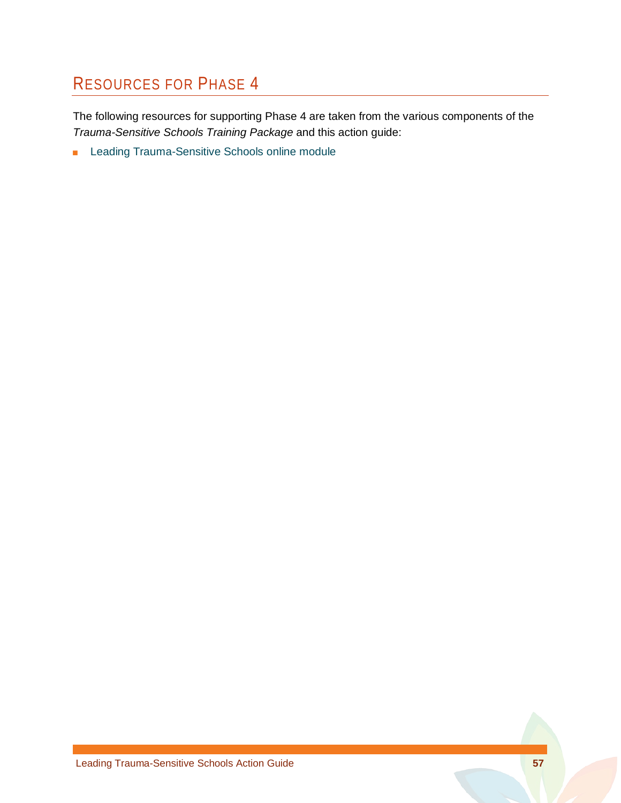## RESOURCES FOR PHASE 4

The following resources for supporting Phase 4 are taken from the various components of the *Trauma-Sensitive Schools Training Package* and this action guide:

■ Leading Trauma-Sensitive Schools online module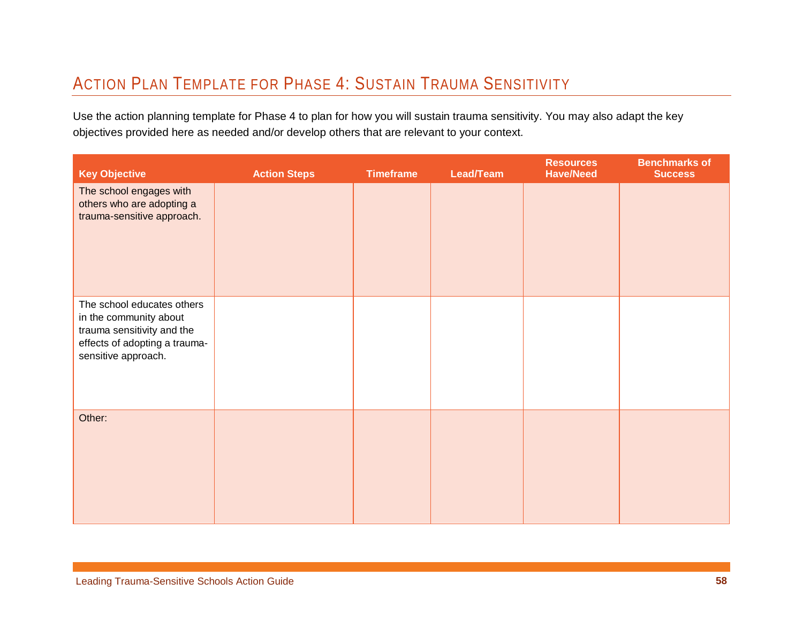## ACTION PLAN TEMPLATE FOR PHASE 4: SUSTAIN TRAUMA SENSITIVITY

Use the action planning template for Phase 4 to plan for how you will sustain trauma sensitivity. You may also adapt the key objectives provided here as needed and/or develop others that are relevant to your context.

<span id="page-60-0"></span>

| <b>Key Objective</b>                                                                                                                       | <b>Action Steps</b> | <b>Timeframe</b> | Lead/Team | <b>Resources</b><br><b>Have/Need</b> | <b>Benchmarks of</b><br><b>Success</b> |
|--------------------------------------------------------------------------------------------------------------------------------------------|---------------------|------------------|-----------|--------------------------------------|----------------------------------------|
| The school engages with<br>others who are adopting a<br>trauma-sensitive approach.                                                         |                     |                  |           |                                      |                                        |
| The school educates others<br>in the community about<br>trauma sensitivity and the<br>effects of adopting a trauma-<br>sensitive approach. |                     |                  |           |                                      |                                        |
| Other:                                                                                                                                     |                     |                  |           |                                      |                                        |